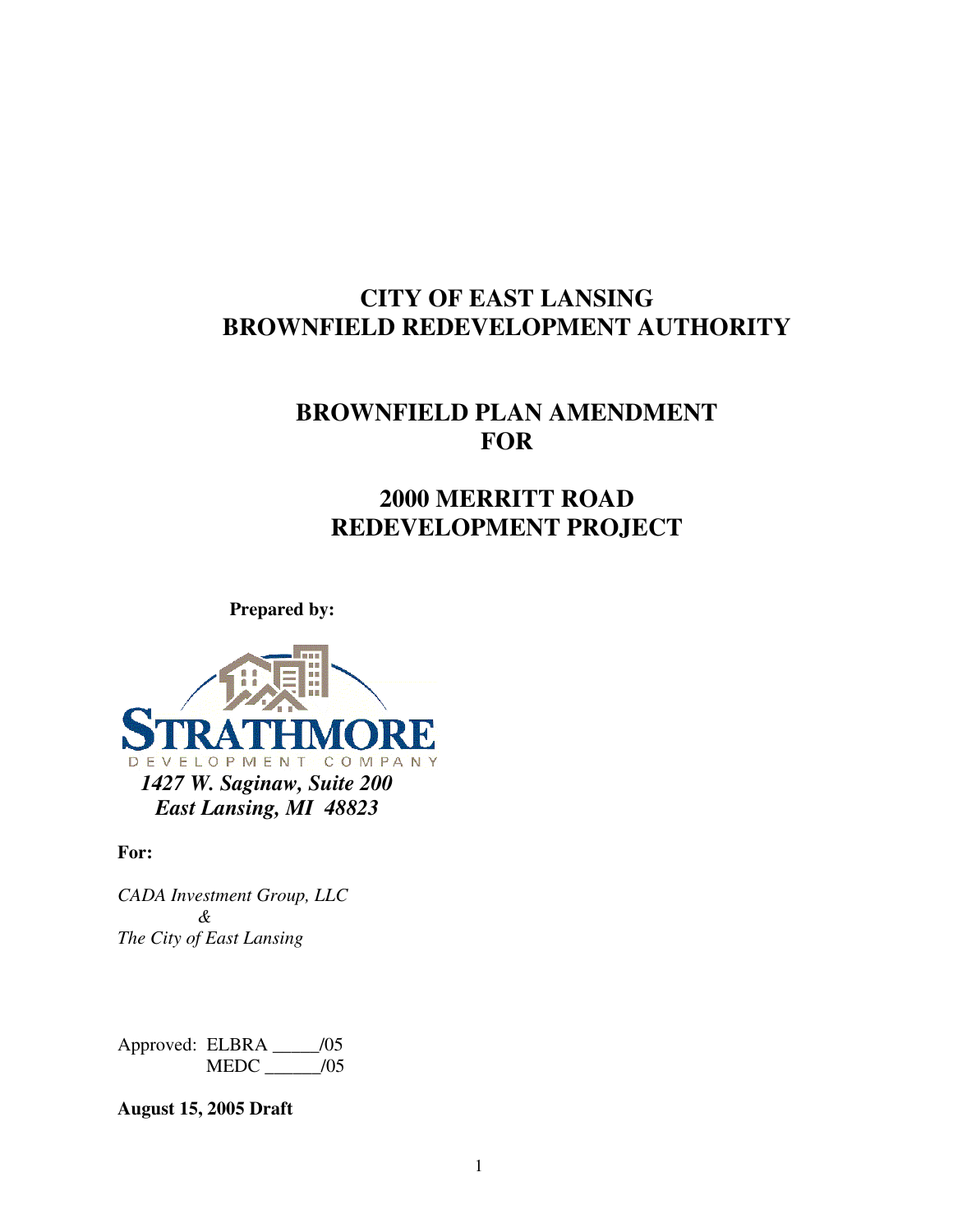# **CITY OF EAST LANSING BROWNFIELD REDEVELOPMENT AUTHORITY**

# **BROWNFIELD PLAN AMENDMENT FOR**

# **2000 MERRITT ROAD REDEVELOPMENT PROJECT**

**Prepared by:** 



#### **For:**

*CADA Investment Group, LLC & The City of East Lansing* 

Approved: ELBRA \_\_\_\_\_/05 MEDC \_\_\_\_\_\_/05

**August 15, 2005 Draft**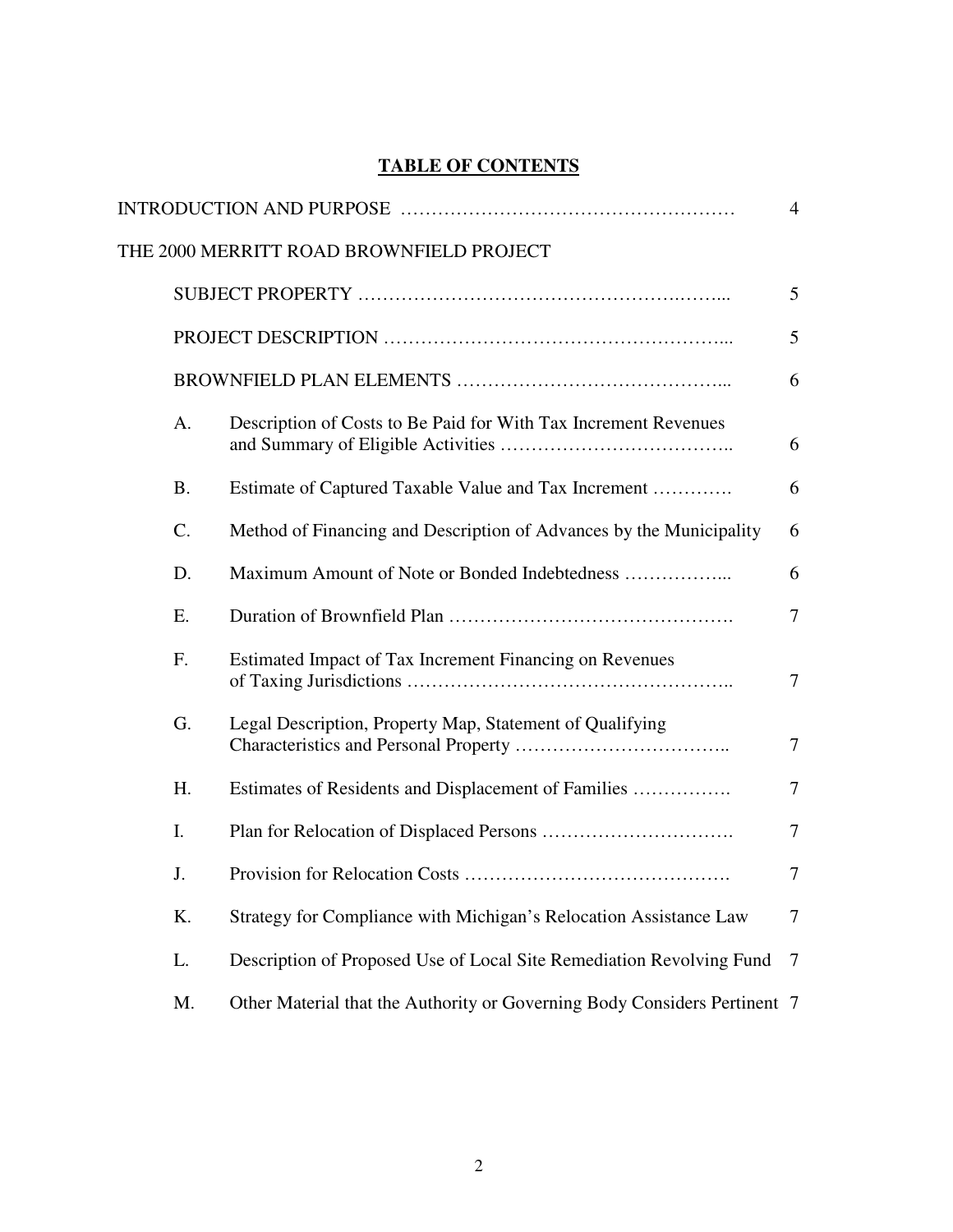## **TABLE OF CONTENTS**

|           |                                                                           | $\overline{4}$ |
|-----------|---------------------------------------------------------------------------|----------------|
|           | THE 2000 MERRITT ROAD BROWNFIELD PROJECT                                  |                |
|           |                                                                           | 5              |
|           |                                                                           | 5              |
|           |                                                                           | 6              |
| A.        | Description of Costs to Be Paid for With Tax Increment Revenues           | 6              |
| <b>B.</b> | Estimate of Captured Taxable Value and Tax Increment                      | 6              |
| C.        | Method of Financing and Description of Advances by the Municipality       | 6              |
| D.        | Maximum Amount of Note or Bonded Indebtedness                             | 6              |
| E.        |                                                                           | $\tau$         |
| F.        | Estimated Impact of Tax Increment Financing on Revenues                   | $\overline{7}$ |
| G.        | Legal Description, Property Map, Statement of Qualifying                  | $\tau$         |
| H.        | Estimates of Residents and Displacement of Families                       | $\overline{7}$ |
| I.        |                                                                           | $\tau$         |
| J.        |                                                                           | $\overline{7}$ |
| K.        | Strategy for Compliance with Michigan's Relocation Assistance Law         | $\overline{7}$ |
| L.        | Description of Proposed Use of Local Site Remediation Revolving Fund      | $\tau$         |
| M.        | Other Material that the Authority or Governing Body Considers Pertinent 7 |                |
|           |                                                                           |                |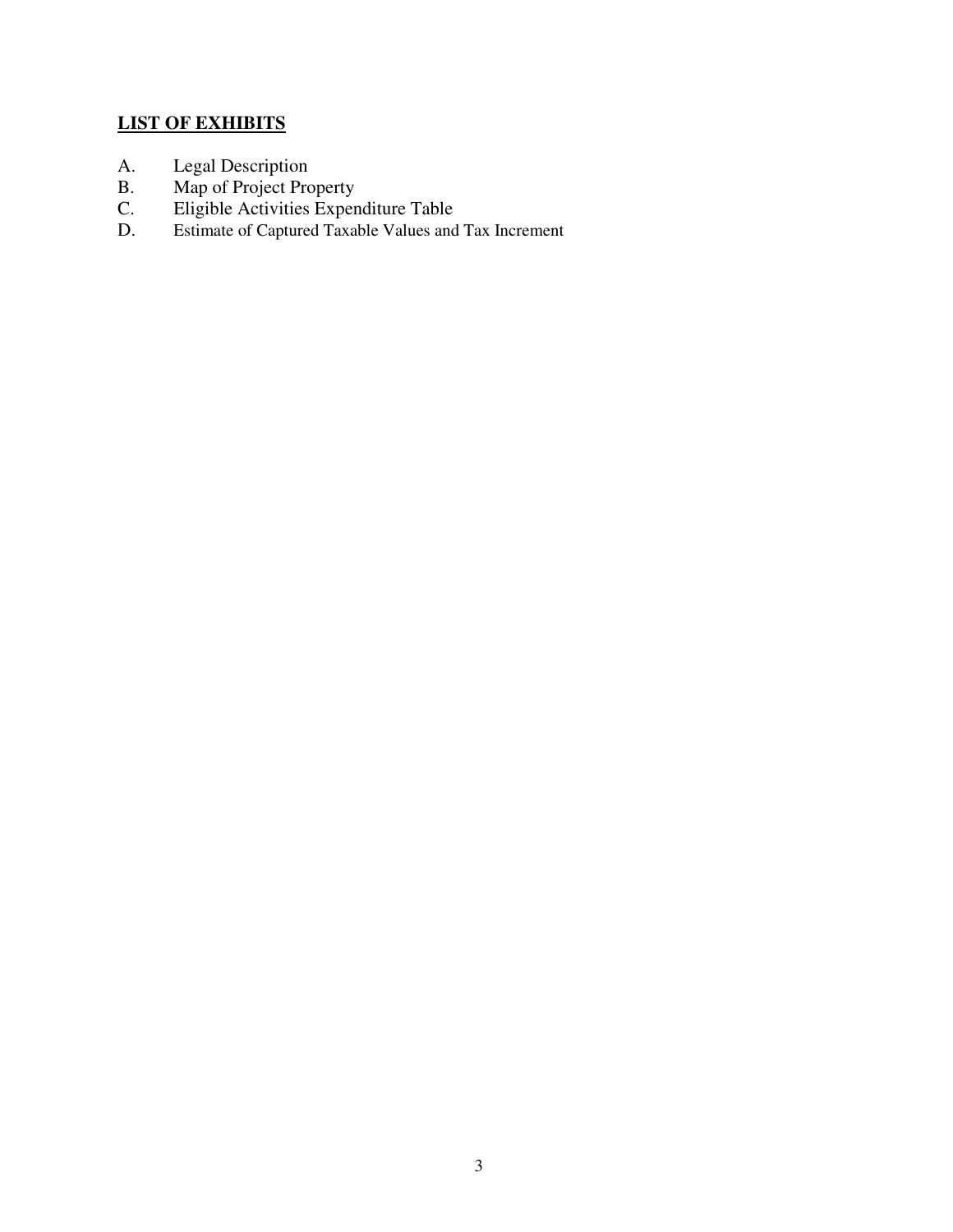## **LIST OF EXHIBITS**

- A. Legal Description
- B. Map of Project Property
- C. Eligible Activities Expenditure Table
- D. Estimate of Captured Taxable Values and Tax Increment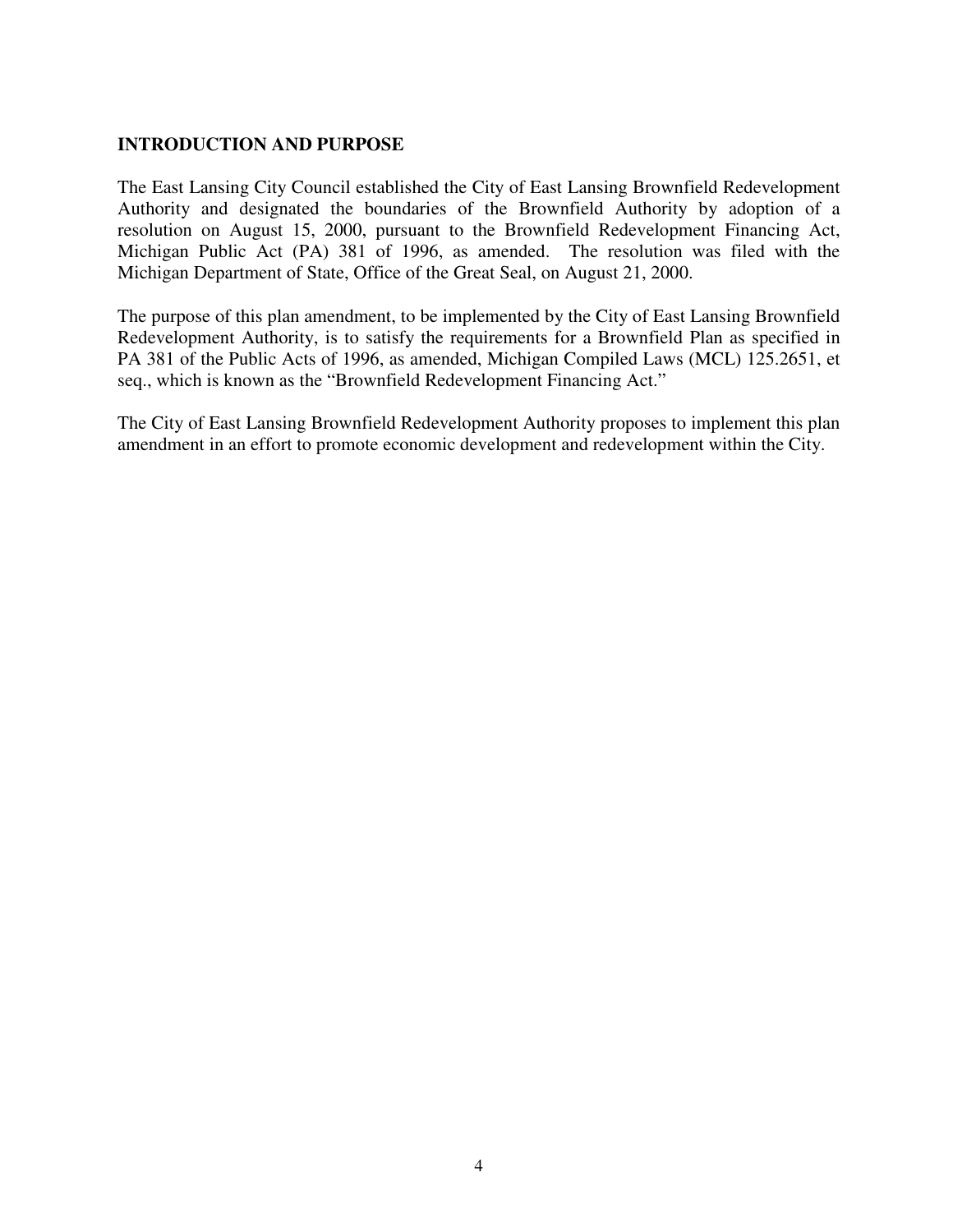#### **INTRODUCTION AND PURPOSE**

The East Lansing City Council established the City of East Lansing Brownfield Redevelopment Authority and designated the boundaries of the Brownfield Authority by adoption of a resolution on August 15, 2000, pursuant to the Brownfield Redevelopment Financing Act, Michigan Public Act (PA) 381 of 1996, as amended. The resolution was filed with the Michigan Department of State, Office of the Great Seal, on August 21, 2000.

The purpose of this plan amendment, to be implemented by the City of East Lansing Brownfield Redevelopment Authority, is to satisfy the requirements for a Brownfield Plan as specified in PA 381 of the Public Acts of 1996, as amended, Michigan Compiled Laws (MCL) 125.2651, et seq., which is known as the "Brownfield Redevelopment Financing Act."

The City of East Lansing Brownfield Redevelopment Authority proposes to implement this plan amendment in an effort to promote economic development and redevelopment within the City.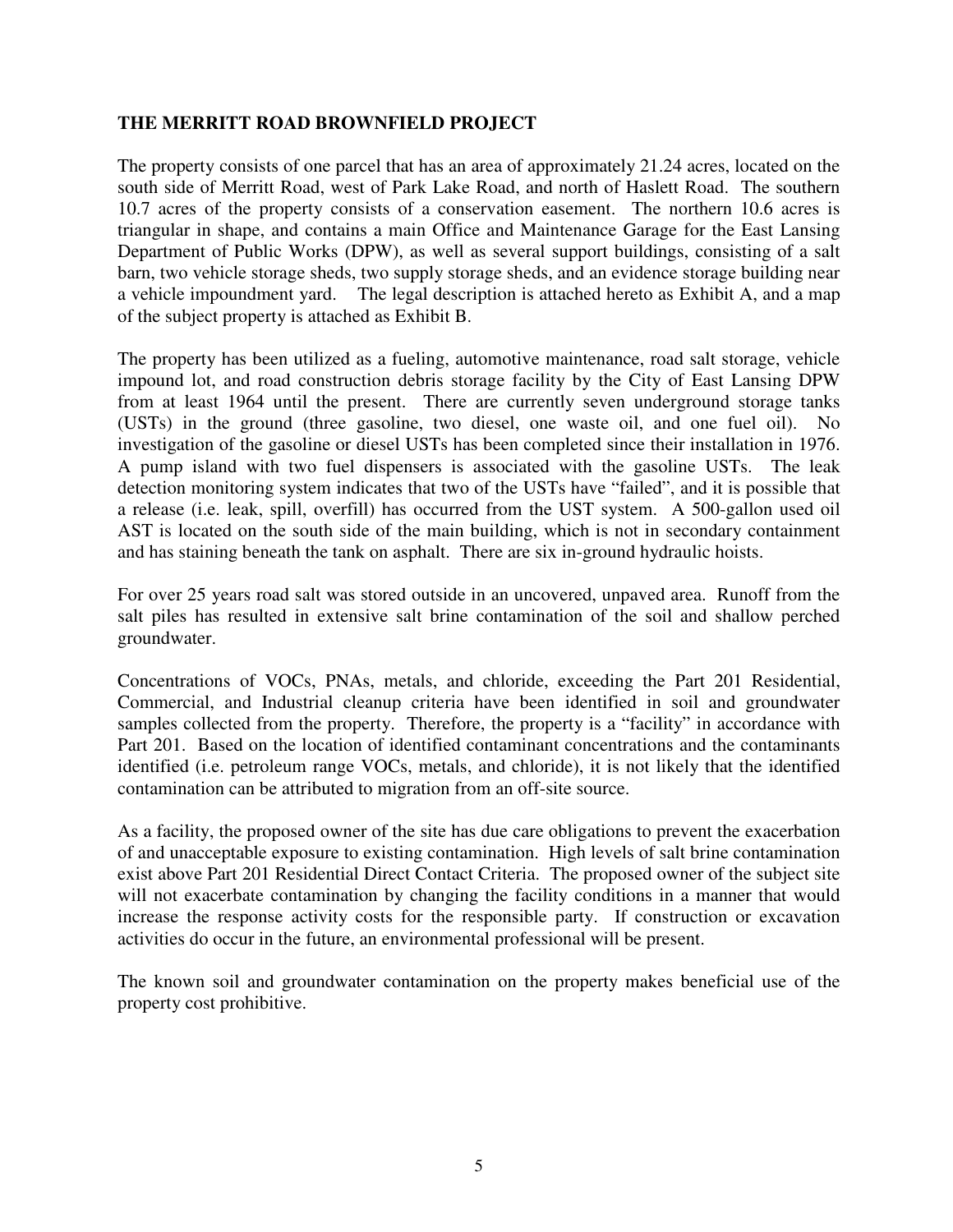#### **THE MERRITT ROAD BROWNFIELD PROJECT**

The property consists of one parcel that has an area of approximately 21.24 acres, located on the south side of Merritt Road, west of Park Lake Road, and north of Haslett Road. The southern 10.7 acres of the property consists of a conservation easement. The northern 10.6 acres is triangular in shape, and contains a main Office and Maintenance Garage for the East Lansing Department of Public Works (DPW), as well as several support buildings, consisting of a salt barn, two vehicle storage sheds, two supply storage sheds, and an evidence storage building near a vehicle impoundment yard. The legal description is attached hereto as Exhibit A, and a map of the subject property is attached as Exhibit B.

The property has been utilized as a fueling, automotive maintenance, road salt storage, vehicle impound lot, and road construction debris storage facility by the City of East Lansing DPW from at least 1964 until the present. There are currently seven underground storage tanks (USTs) in the ground (three gasoline, two diesel, one waste oil, and one fuel oil). No investigation of the gasoline or diesel USTs has been completed since their installation in 1976. A pump island with two fuel dispensers is associated with the gasoline USTs. The leak detection monitoring system indicates that two of the USTs have "failed", and it is possible that a release (i.e. leak, spill, overfill) has occurred from the UST system. A 500-gallon used oil AST is located on the south side of the main building, which is not in secondary containment and has staining beneath the tank on asphalt. There are six in-ground hydraulic hoists.

For over 25 years road salt was stored outside in an uncovered, unpaved area. Runoff from the salt piles has resulted in extensive salt brine contamination of the soil and shallow perched groundwater.

Concentrations of VOCs, PNAs, metals, and chloride, exceeding the Part 201 Residential, Commercial, and Industrial cleanup criteria have been identified in soil and groundwater samples collected from the property. Therefore, the property is a "facility" in accordance with Part 201. Based on the location of identified contaminant concentrations and the contaminants identified (i.e. petroleum range VOCs, metals, and chloride), it is not likely that the identified contamination can be attributed to migration from an off-site source.

As a facility, the proposed owner of the site has due care obligations to prevent the exacerbation of and unacceptable exposure to existing contamination. High levels of salt brine contamination exist above Part 201 Residential Direct Contact Criteria. The proposed owner of the subject site will not exacerbate contamination by changing the facility conditions in a manner that would increase the response activity costs for the responsible party. If construction or excavation activities do occur in the future, an environmental professional will be present.

The known soil and groundwater contamination on the property makes beneficial use of the property cost prohibitive.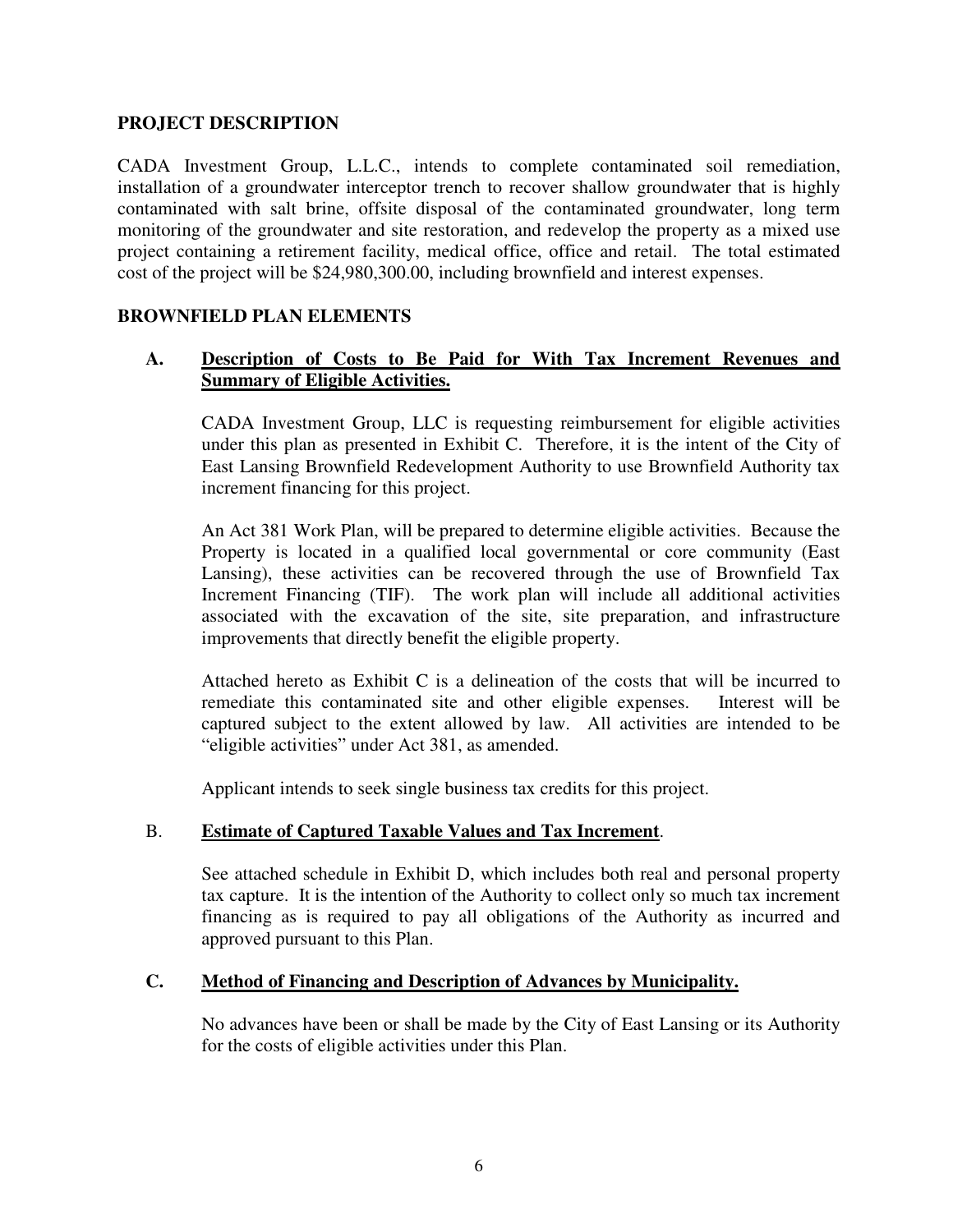#### **PROJECT DESCRIPTION**

CADA Investment Group, L.L.C., intends to complete contaminated soil remediation, installation of a groundwater interceptor trench to recover shallow groundwater that is highly contaminated with salt brine, offsite disposal of the contaminated groundwater, long term monitoring of the groundwater and site restoration, and redevelop the property as a mixed use project containing a retirement facility, medical office, office and retail. The total estimated cost of the project will be \$24,980,300.00, including brownfield and interest expenses.

#### **BROWNFIELD PLAN ELEMENTS**

#### **A. Description of Costs to Be Paid for With Tax Increment Revenues and Summary of Eligible Activities.**

CADA Investment Group, LLC is requesting reimbursement for eligible activities under this plan as presented in Exhibit C. Therefore, it is the intent of the City of East Lansing Brownfield Redevelopment Authority to use Brownfield Authority tax increment financing for this project.

An Act 381 Work Plan, will be prepared to determine eligible activities. Because the Property is located in a qualified local governmental or core community (East Lansing), these activities can be recovered through the use of Brownfield Tax Increment Financing (TIF). The work plan will include all additional activities associated with the excavation of the site, site preparation, and infrastructure improvements that directly benefit the eligible property.

Attached hereto as Exhibit C is a delineation of the costs that will be incurred to remediate this contaminated site and other eligible expenses. Interest will be captured subject to the extent allowed by law. All activities are intended to be "eligible activities" under Act 381, as amended.

Applicant intends to seek single business tax credits for this project.

#### B. **Estimate of Captured Taxable Values and Tax Increment**.

See attached schedule in Exhibit D, which includes both real and personal property tax capture. It is the intention of the Authority to collect only so much tax increment financing as is required to pay all obligations of the Authority as incurred and approved pursuant to this Plan.

#### **C. Method of Financing and Description of Advances by Municipality.**

No advances have been or shall be made by the City of East Lansing or its Authority for the costs of eligible activities under this Plan.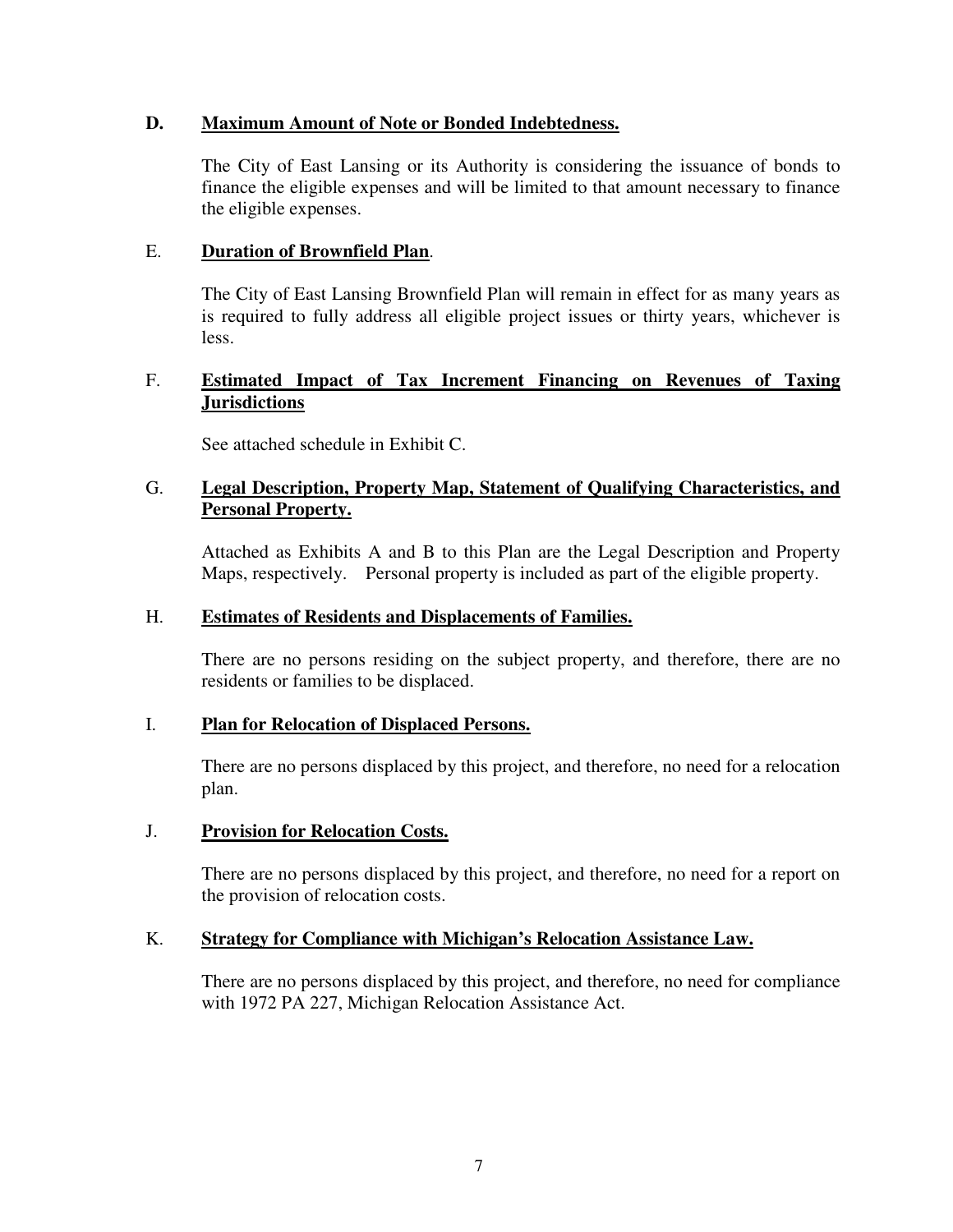#### **D. Maximum Amount of Note or Bonded Indebtedness.**

The City of East Lansing or its Authority is considering the issuance of bonds to finance the eligible expenses and will be limited to that amount necessary to finance the eligible expenses.

#### E. **Duration of Brownfield Plan**.

The City of East Lansing Brownfield Plan will remain in effect for as many years as is required to fully address all eligible project issues or thirty years, whichever is less.

#### F. **Estimated Impact of Tax Increment Financing on Revenues of Taxing Jurisdictions**

See attached schedule in Exhibit C.

#### G. **Legal Description, Property Map, Statement of Qualifying Characteristics, and Personal Property.**

Attached as Exhibits A and B to this Plan are the Legal Description and Property Maps, respectively. Personal property is included as part of the eligible property.

#### H. **Estimates of Residents and Displacements of Families.**

There are no persons residing on the subject property, and therefore, there are no residents or families to be displaced.

#### I. **Plan for Relocation of Displaced Persons.**

There are no persons displaced by this project, and therefore, no need for a relocation plan.

#### J. **Provision for Relocation Costs.**

There are no persons displaced by this project, and therefore, no need for a report on the provision of relocation costs.

#### K. **Strategy for Compliance with Michigan's Relocation Assistance Law.**

There are no persons displaced by this project, and therefore, no need for compliance with 1972 PA 227, Michigan Relocation Assistance Act.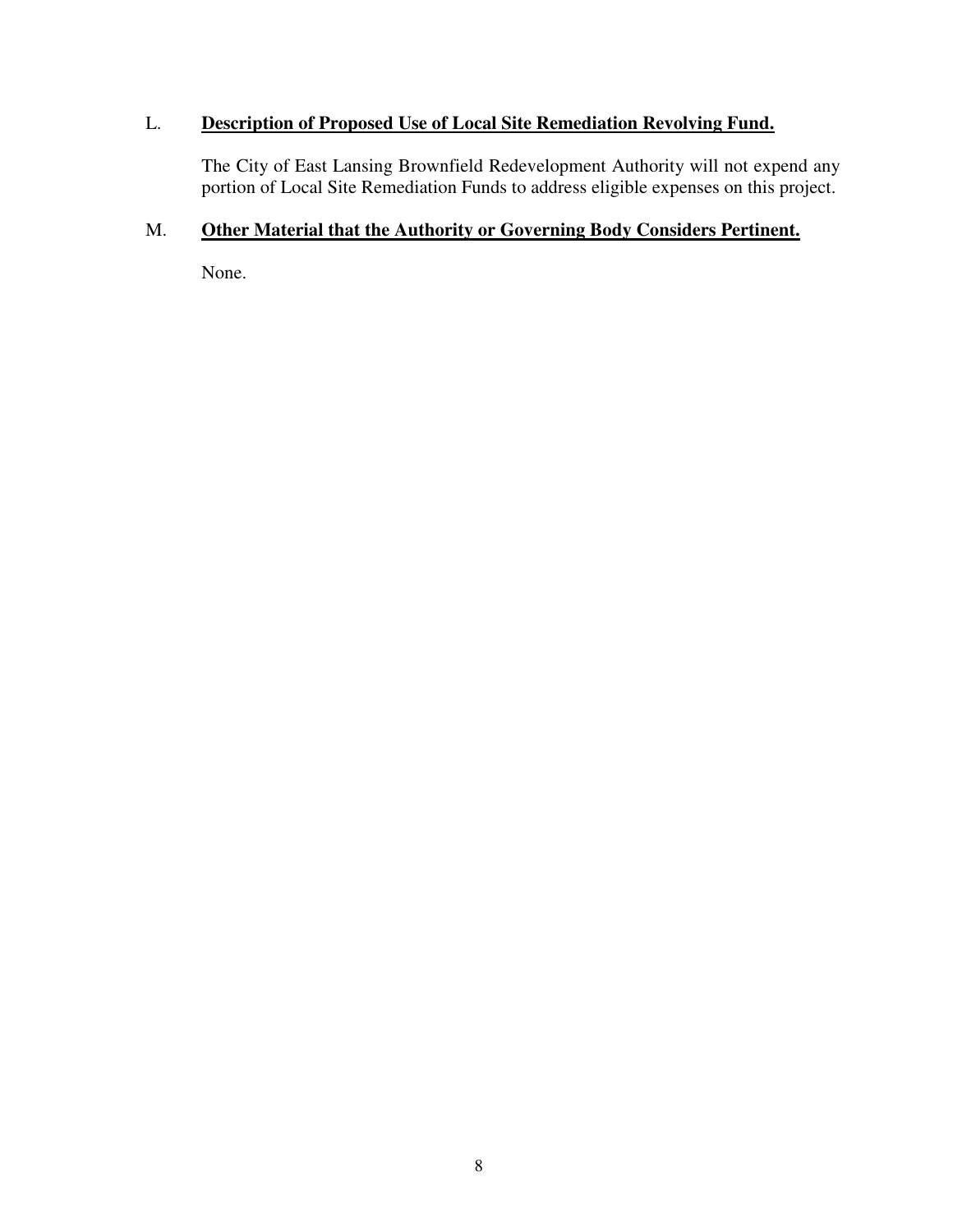### L. **Description of Proposed Use of Local Site Remediation Revolving Fund.**

The City of East Lansing Brownfield Redevelopment Authority will not expend any portion of Local Site Remediation Funds to address eligible expenses on this project.

### M. **Other Material that the Authority or Governing Body Considers Pertinent.**

None.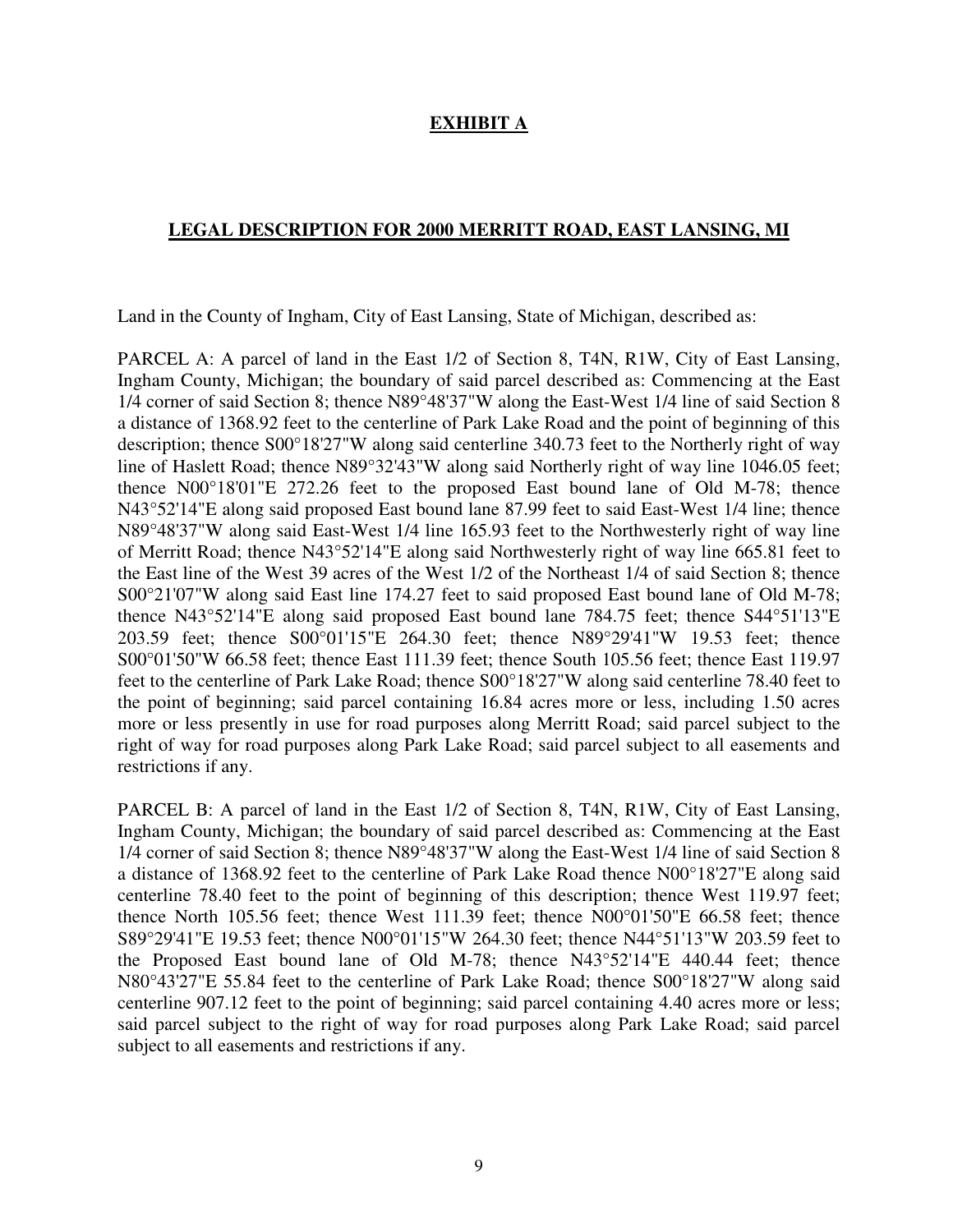### **EXHIBIT A**

#### **LEGAL DESCRIPTION FOR 2000 MERRITT ROAD, EAST LANSING, MI**

Land in the County of Ingham, City of East Lansing, State of Michigan, described as:

PARCEL A: A parcel of land in the East 1/2 of Section 8, T4N, R1W, City of East Lansing, Ingham County, Michigan; the boundary of said parcel described as: Commencing at the East 1/4 corner of said Section 8; thence N89°48'37"W along the East-West 1/4 line of said Section 8 a distance of 1368.92 feet to the centerline of Park Lake Road and the point of beginning of this description; thence S00°18'27"W along said centerline 340.73 feet to the Northerly right of way line of Haslett Road; thence N89°32'43"W along said Northerly right of way line 1046.05 feet; thence N00°18'01"E 272.26 feet to the proposed East bound lane of Old M-78; thence N43°52'14"E along said proposed East bound lane 87.99 feet to said East-West 1/4 line; thence N89°48'37"W along said East-West 1/4 line 165.93 feet to the Northwesterly right of way line of Merritt Road; thence N43°52'14"E along said Northwesterly right of way line 665.81 feet to the East line of the West 39 acres of the West 1/2 of the Northeast 1/4 of said Section 8; thence S00°21'07"W along said East line 174.27 feet to said proposed East bound lane of Old M-78; thence N43°52'14"E along said proposed East bound lane 784.75 feet; thence S44°51'13"E 203.59 feet; thence S00°01'15"E 264.30 feet; thence N89°29'41"W 19.53 feet; thence S00°01'50"W 66.58 feet; thence East 111.39 feet; thence South 105.56 feet; thence East 119.97 feet to the centerline of Park Lake Road; thence S00°18'27"W along said centerline 78.40 feet to the point of beginning; said parcel containing 16.84 acres more or less, including 1.50 acres more or less presently in use for road purposes along Merritt Road; said parcel subject to the right of way for road purposes along Park Lake Road; said parcel subject to all easements and restrictions if any.

PARCEL B: A parcel of land in the East 1/2 of Section 8, T4N, R1W, City of East Lansing, Ingham County, Michigan; the boundary of said parcel described as: Commencing at the East 1/4 corner of said Section 8; thence N89°48'37"W along the East-West 1/4 line of said Section 8 a distance of 1368.92 feet to the centerline of Park Lake Road thence N00°18'27"E along said centerline 78.40 feet to the point of beginning of this description; thence West 119.97 feet; thence North 105.56 feet; thence West 111.39 feet; thence N00°01'50"E 66.58 feet; thence S89°29'41"E 19.53 feet; thence N00°01'15"W 264.30 feet; thence N44°51'13"W 203.59 feet to the Proposed East bound lane of Old M-78; thence N43°52'14"E 440.44 feet; thence N80°43'27"E 55.84 feet to the centerline of Park Lake Road; thence S00°18'27"W along said centerline 907.12 feet to the point of beginning; said parcel containing 4.40 acres more or less; said parcel subject to the right of way for road purposes along Park Lake Road; said parcel subject to all easements and restrictions if any.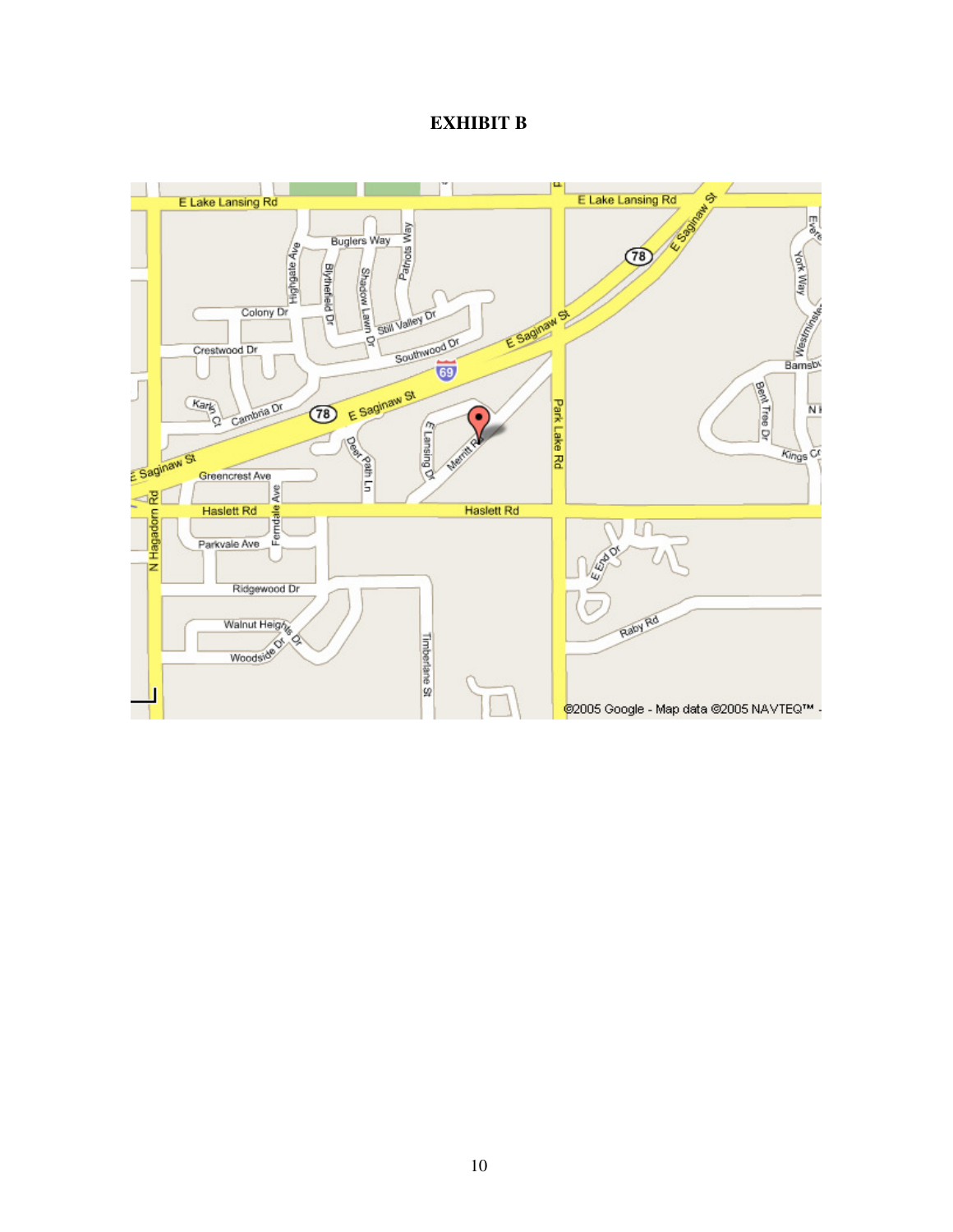### **EXHIBIT B**

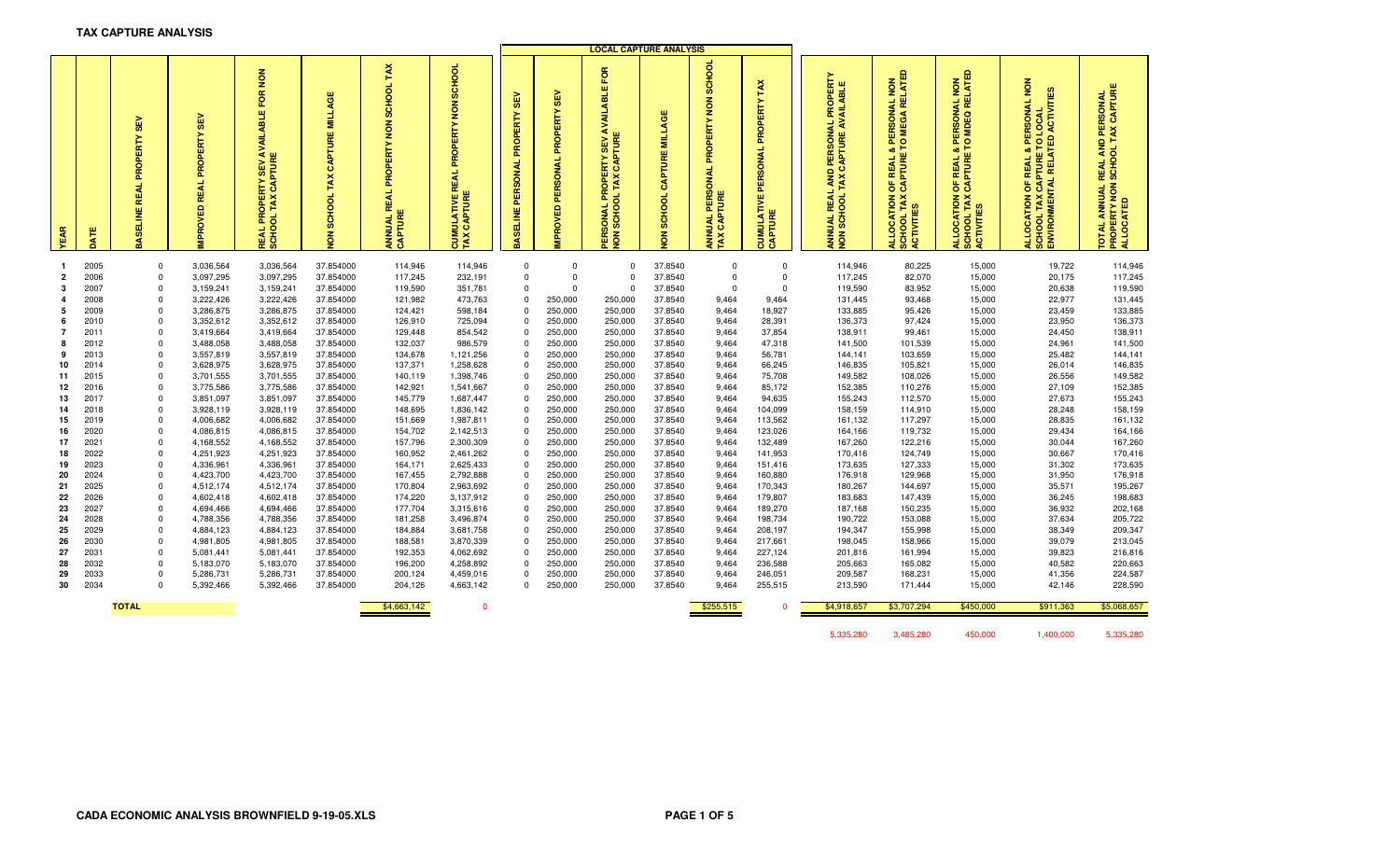#### **TAX CAPTURE ANALYSIS**

|                     |              |                                                 |                                                      |                                                                                                                     |                                                                                         |                                                                                           |                                                                                                       |                                      |                                                   | <b>LOCAL CAPTURE ANALYSIS</b>                                                                     |                                                    |                                                                        |                                                           |                                                                                                                                                     |                                                                                                                |                                                                                                                                         |                                                                                                                                |                                                                                         |
|---------------------|--------------|-------------------------------------------------|------------------------------------------------------|---------------------------------------------------------------------------------------------------------------------|-----------------------------------------------------------------------------------------|-------------------------------------------------------------------------------------------|-------------------------------------------------------------------------------------------------------|--------------------------------------|---------------------------------------------------|---------------------------------------------------------------------------------------------------|----------------------------------------------------|------------------------------------------------------------------------|-----------------------------------------------------------|-----------------------------------------------------------------------------------------------------------------------------------------------------|----------------------------------------------------------------------------------------------------------------|-----------------------------------------------------------------------------------------------------------------------------------------|--------------------------------------------------------------------------------------------------------------------------------|-----------------------------------------------------------------------------------------|
| EAR                 | ATE          | $rac{1}{35}$<br>PROPERTY<br>REAL<br>ELINE<br>ଞ୍ | <b>SEV</b><br><b>REAL PROPERTY</b><br><b>MPROVED</b> | $\frac{8}{2}$<br>FOR<br><b>ABLE</b><br>₹<br>₹<br>CAPTURE<br><b>SEV</b><br>EY<br><b>REAL PROPER<br/>SCHOOL TAX 0</b> | <b>MILLAGE</b><br>PTURE<br>$\mathfrak{S}$<br>TAX<br><b>SCHOOL</b><br>$\overline{\bf 6}$ | TAX<br>SCHOOL<br>$\sum_{i=1}^{n}$<br>PROPERTY<br>봌<br>œ<br>ш<br><b>ANNUAL<br/>CAPTURE</b> | SCHOOL<br>$\frac{8}{2}$<br><b>ERTY</b><br>PROPI<br>₹<br>띭<br><b>UMULATIVE I<br/>AX CAPTURE</b><br>TAX | 噐<br>PROPERTY<br>PERSONAL<br>ASELINE | ≧<br>ø,<br>PROPERTY<br>PERSONAL<br><b>IPROVED</b> | FOR<br><b>AVAILABLE</b><br><b>ERSONAL PROPERTY SEV<br/>ON SCHOOL TAX CAPTURE</b><br>ON SCHOOL TAX | <b>CAPTURE MILLAGE</b><br>SCHOOL<br>$\overline{6}$ | SCHOOL<br>$\frac{z}{2}$<br>ERTY<br>ဝ<br>ā.<br>중<br>CAPTURE<br><b>Z</b> | OPERT<br>준<br>PERSONAL<br><b>CUMULATIVE I<br/>CAPTURE</b> | <b>PROPERTY</b><br>BLE<br>⋖<br><b>AVAIL</b><br>ಕ<br>CAPTURE<br>PERSON<br><b>QM</b><br>TAX<br>REAL<br>SCHOO<br><b>TYN</b><br>$\overline{\bf 6}$<br>ž | & PERSONAL NON<br>TO MEGA RELATED<br>ಹ<br>OF REAL 8<br>CAPTURE<br><b>ILLOCATION</b><br>SCHOOL TAX<br>CTIVITIES | <b>REAL &amp; PERSONAL NON<br/>PTURE TO MDEQ RELATED</b><br>CAPTURE <sup>-</sup><br>5<br><b>SCHOOL TAX (</b><br>ACTIVITIES<br>LLOCATION | PERSONAL NON<br><b>ACTIVITIES</b><br>Ξ<br><b>ENVIRONMENTAL RELATED</b><br>$\circ$<br>ø.<br>REAL<br>ㅎ<br>OCATION<br><b>OHOO</b> | <b>TOTAL ANNUAL REAL AND PERSONAL<br/>PROPERTY NON SCHOOL TAX CAPTURE<br/>ALLOCATED</b> |
|                     |              |                                                 |                                                      |                                                                                                                     |                                                                                         |                                                                                           |                                                                                                       |                                      |                                                   |                                                                                                   |                                                    |                                                                        |                                                           |                                                                                                                                                     |                                                                                                                |                                                                                                                                         |                                                                                                                                |                                                                                         |
| $\mathbf{1}$        | 2005         | 0                                               | 3,036,564                                            | 3,036,564                                                                                                           | 37.854000                                                                               | 114,946                                                                                   | 114,946                                                                                               | $\mathbf 0$                          | $\mathbf{0}$<br>$\Omega$                          | $\mathbf 0$                                                                                       | 37.8540                                            | $\mathbf 0$                                                            | $\mathbf 0$                                               | 114,946                                                                                                                                             | 80,225                                                                                                         | 15,000                                                                                                                                  | 19,722                                                                                                                         | 114,946                                                                                 |
| $\overline{2}$<br>3 | 2006<br>2007 | $\mathbf 0$                                     | 3,097,295                                            | 3,097,295                                                                                                           | 37.854000<br>37.854000                                                                  | 117,245<br>119,590                                                                        | 232,191                                                                                               | $\mathbf 0$<br>$\mathbf 0$           | $\mathbf{0}$                                      | $\mathbf 0$<br>$\mathbf 0$                                                                        | 37.8540                                            | $\mathbf 0$<br>$\mathbf{0}$                                            | $\mathbf 0$<br>$\mathbf 0$                                | 117,245                                                                                                                                             | 82,070<br>83,952                                                                                               | 15,000                                                                                                                                  | 20,175                                                                                                                         | 117,245<br>119,590                                                                      |
| 4                   | 2008         | 0<br>$\mathbf 0$                                | 3,159,241<br>3,222,426                               | 3,159,241<br>3,222,426                                                                                              | 37.854000                                                                               | 121,982                                                                                   | 351,781<br>473,763                                                                                    | $\mathbf 0$                          | 250,000                                           | 250,000                                                                                           | 37.8540<br>37.8540                                 | 9,464                                                                  | 9,464                                                     | 119,590<br>131,445                                                                                                                                  | 93,468                                                                                                         | 15,000<br>15,000                                                                                                                        | 20,638<br>22,977                                                                                                               | 131,445                                                                                 |
| 5                   | 2009         | $\mathbf{0}$                                    | 3,286,875                                            | 3,286,875                                                                                                           | 37.854000                                                                               | 124,421                                                                                   | 598,184                                                                                               | $\Omega$                             | 250,000                                           | 250,000                                                                                           | 37.8540                                            | 9,464                                                                  | 18,927                                                    | 133,885                                                                                                                                             | 95,426                                                                                                         | 15,000                                                                                                                                  | 23,459                                                                                                                         | 133,885                                                                                 |
| 6                   | 2010         | $\mathbf 0$                                     | 3,352,612                                            | 3,352,612                                                                                                           | 37.854000                                                                               | 126,910                                                                                   | 725,094                                                                                               | $\Omega$                             | 250,000                                           | 250,000                                                                                           | 37.8540                                            | 9,464                                                                  | 28,391                                                    | 136,373                                                                                                                                             | 97,424                                                                                                         | 15,000                                                                                                                                  | 23,950                                                                                                                         | 136,373                                                                                 |
| $\overline{7}$      | 2011         | $\mathbf 0$                                     | 3,419,664                                            | 3,419,664                                                                                                           | 37.854000                                                                               | 129,448                                                                                   | 854,542                                                                                               | $\Omega$                             | 250,000                                           | 250,000                                                                                           | 37.8540                                            | 9,464                                                                  | 37,854                                                    | 138,911                                                                                                                                             | 99,461                                                                                                         | 15,000                                                                                                                                  | 24,450                                                                                                                         | 138,911                                                                                 |
| 8                   | 2012         | $\mathbf 0$                                     | 3,488,058                                            | 3,488,058                                                                                                           | 37.854000                                                                               | 132,037                                                                                   | 986,579                                                                                               | $\Omega$                             | 250,000                                           | 250,000                                                                                           | 37.8540                                            | 9,464                                                                  | 47,318                                                    | 141,500                                                                                                                                             | 101,539                                                                                                        | 15,000                                                                                                                                  | 24,961                                                                                                                         | 141,500                                                                                 |
| 9                   | 2013         | 0                                               | 3,557,819                                            | 3,557,819                                                                                                           | 37.854000                                                                               | 134,678                                                                                   | 1,121,256                                                                                             | $\Omega$                             | 250,000                                           | 250,000                                                                                           | 37.8540                                            | 9,464                                                                  | 56,781                                                    | 144,141                                                                                                                                             | 103,659                                                                                                        | 15,000                                                                                                                                  | 25,482                                                                                                                         | 144,141                                                                                 |
| 10                  | 2014         | $\Omega$                                        | 3,628,975                                            | 3,628,975                                                                                                           | 37.854000                                                                               | 137,371                                                                                   | 1,258,628                                                                                             | $\Omega$                             | 250,000                                           | 250,000                                                                                           | 37.8540                                            | 9,464                                                                  | 66,245                                                    | 146,835                                                                                                                                             | 105,821                                                                                                        | 15,000                                                                                                                                  | 26,014                                                                                                                         | 146,835                                                                                 |
| 11                  | 2015         | 0                                               | 3,701,555                                            | 3,701,555                                                                                                           | 37.854000                                                                               | 140,119                                                                                   | 1,398,746                                                                                             | $\Omega$                             | 250,000                                           | 250,000                                                                                           | 37.8540                                            | 9,464                                                                  | 75,708                                                    | 149,582                                                                                                                                             | 108,026                                                                                                        | 15,000                                                                                                                                  | 26,556                                                                                                                         | 149,582                                                                                 |
| 12                  | 2016         | $\mathbf 0$                                     | 3,775,586                                            | 3,775,586                                                                                                           | 37.854000                                                                               | 142,921                                                                                   | 1,541,667                                                                                             | $\Omega$                             | 250,000                                           | 250,000                                                                                           | 37.8540                                            | 9,464                                                                  | 85,172                                                    | 152,385                                                                                                                                             | 110,276                                                                                                        | 15,000                                                                                                                                  | 27,109                                                                                                                         | 152,385                                                                                 |
| 13                  | 2017         | 0                                               | 3,851,097                                            | 3,851,097                                                                                                           | 37.854000                                                                               | 145,779                                                                                   | 1,687,447                                                                                             | $\Omega$                             | 250,000                                           | 250,000                                                                                           | 37.8540                                            | 9,464                                                                  | 94,635                                                    | 155,243                                                                                                                                             | 112,570                                                                                                        | 15,000                                                                                                                                  | 27,673                                                                                                                         | 155,243                                                                                 |
| 14                  | 2018         | 0                                               | 3,928,119                                            | 3,928,119                                                                                                           | 37.854000                                                                               | 148,695                                                                                   | 1,836,142                                                                                             | $\Omega$                             | 250,000                                           | 250,000                                                                                           | 37.8540                                            | 9,464                                                                  | 104,099                                                   | 158,159                                                                                                                                             | 114,910                                                                                                        | 15,000                                                                                                                                  | 28,248                                                                                                                         | 158,159                                                                                 |
| 15                  | 2019         | 0                                               | 4,006,682                                            | 4,006,682                                                                                                           | 37.854000                                                                               | 151,669                                                                                   | 1,987,811                                                                                             | $\Omega$                             | 250,000                                           | 250,000                                                                                           | 37.8540                                            | 9,464                                                                  | 113,562                                                   | 161,132                                                                                                                                             | 117,297                                                                                                        | 15,000                                                                                                                                  | 28,835                                                                                                                         | 161,132                                                                                 |
| 16                  | 2020         | $\mathbf 0$                                     | 4,086,815                                            | 4,086,815                                                                                                           | 37.854000                                                                               | 154,702                                                                                   | 2,142,513                                                                                             | $\Omega$                             | 250,000                                           | 250,000                                                                                           | 37.8540                                            | 9,464                                                                  | 123,026                                                   | 164,166                                                                                                                                             | 119,732                                                                                                        | 15,000                                                                                                                                  | 29,434                                                                                                                         | 164,166                                                                                 |
| 17                  | 2021         | 0                                               | 4,168,552                                            | 4,168,552                                                                                                           | 37.854000                                                                               | 157,796                                                                                   | 2,300,309                                                                                             | $\Omega$                             | 250,000                                           | 250,000                                                                                           | 37.8540                                            | 9,464                                                                  | 132,489                                                   | 167,260                                                                                                                                             | 122,216                                                                                                        | 15,000                                                                                                                                  | 30,044                                                                                                                         | 167,260                                                                                 |
| 18                  | 2022         | $\Omega$                                        | 4,251,923                                            | 4,251,923                                                                                                           | 37.854000                                                                               | 160,952                                                                                   | 2,461,262                                                                                             | $\Omega$<br>$\Omega$                 | 250,000                                           | 250,000                                                                                           | 37.8540                                            | 9,464                                                                  | 141,953                                                   | 170,416                                                                                                                                             | 124,749                                                                                                        | 15,000                                                                                                                                  | 30,667                                                                                                                         | 170,416                                                                                 |
| 19<br>20            | 2023<br>2024 | $^{\circ}$<br>$\mathbf 0$                       | 4,336,961<br>4,423,700                               | 4,336,961<br>4,423,700                                                                                              | 37.854000<br>37.854000                                                                  | 164,171<br>167,455                                                                        | 2,625,433<br>2,792,888                                                                                | $\Omega$                             | 250,000<br>250,000                                | 250,000<br>250,000                                                                                | 37.8540<br>37.8540                                 | 9,464<br>9,464                                                         | 151,416<br>160,880                                        | 173,635<br>176,918                                                                                                                                  | 127,333<br>129,968                                                                                             | 15,000<br>15,000                                                                                                                        | 31,302<br>31,950                                                                                                               | 173,635<br>176,918                                                                      |
| 21                  | 2025         | $\mathbf 0$                                     | 4,512,174                                            | 4,512,174                                                                                                           | 37.854000                                                                               | 170,804                                                                                   | 2,963,692                                                                                             | $\mathbf 0$                          | 250,000                                           | 250,000                                                                                           | 37.8540                                            | 9,464                                                                  | 170,343                                                   | 180,267                                                                                                                                             | 144,697                                                                                                        | 15,000                                                                                                                                  | 35,571                                                                                                                         | 195,267                                                                                 |
| 22                  | 2026         | $\mathbf 0$                                     | 4,602,418                                            | 4,602,418                                                                                                           | 37.854000                                                                               | 174,220                                                                                   | 3,137,912                                                                                             | $\Omega$                             | 250,000                                           | 250,000                                                                                           | 37.8540                                            | 9,464                                                                  | 179,807                                                   | 183,683                                                                                                                                             | 147,439                                                                                                        | 15,000                                                                                                                                  | 36,245                                                                                                                         | 198,683                                                                                 |
| 23                  | 2027         | $\mathbf 0$                                     | 4,694,466                                            | 4,694,466                                                                                                           | 37.854000                                                                               | 177,704                                                                                   | 3,315,616                                                                                             | $\Omega$                             | 250,000                                           | 250,000                                                                                           | 37.8540                                            | 9,464                                                                  | 189,270                                                   | 187,168                                                                                                                                             | 150,235                                                                                                        | 15,000                                                                                                                                  | 36,932                                                                                                                         | 202,168                                                                                 |
| 24                  | 2028         | $\mathbf 0$                                     | 4,788,356                                            | 4,788,356                                                                                                           | 37.854000                                                                               | 181,258                                                                                   | 3,496,874                                                                                             | $\Omega$                             | 250,000                                           | 250,000                                                                                           | 37.8540                                            | 9,464                                                                  | 198,734                                                   | 190,722                                                                                                                                             | 153,088                                                                                                        | 15,000                                                                                                                                  | 37,634                                                                                                                         | 205,722                                                                                 |
| 25                  | 2029         | $\mathbf 0$                                     | 4,884,123                                            | 4,884,123                                                                                                           | 37.854000                                                                               | 184,884                                                                                   | 3,681,758                                                                                             | $\Omega$                             | 250,000                                           | 250,000                                                                                           | 37.8540                                            | 9,464                                                                  | 208,197                                                   | 194,347                                                                                                                                             | 155,998                                                                                                        | 15,000                                                                                                                                  | 38,349                                                                                                                         | 209,347                                                                                 |
| 26                  | 2030         | $\mathbf{0}$                                    | 4,981,805                                            | 4,981,805                                                                                                           | 37.854000                                                                               | 188,581                                                                                   | 3,870,339                                                                                             | $\Omega$                             | 250,000                                           | 250,000                                                                                           | 37.8540                                            | 9,464                                                                  | 217,661                                                   | 198,045                                                                                                                                             | 158,966                                                                                                        | 15,000                                                                                                                                  | 39,079                                                                                                                         | 213,045                                                                                 |
| 27                  | 2031         | $\mathbf 0$                                     | 5,081,441                                            | 5,081,441                                                                                                           | 37.854000                                                                               | 192,353                                                                                   | 4,062,692                                                                                             | $\Omega$                             | 250,000                                           | 250,000                                                                                           | 37.8540                                            | 9,464                                                                  | 227,124                                                   | 201,816                                                                                                                                             | 161,994                                                                                                        | 15,000                                                                                                                                  | 39,823                                                                                                                         | 216,816                                                                                 |
| 28                  | 2032         | $\mathbf{0}$                                    | 5,183,070                                            | 5,183,070                                                                                                           | 37.854000                                                                               | 196,200                                                                                   | 4,258,892                                                                                             | $\Omega$                             | 250,000                                           | 250,000                                                                                           | 37.8540                                            | 9,464                                                                  | 236,588                                                   | 205,663                                                                                                                                             | 165,082                                                                                                        | 15,000                                                                                                                                  | 40,582                                                                                                                         | 220,663                                                                                 |
| 29                  | 2033         | $\mathbf 0$                                     | 5,286,731                                            | 5,286,731                                                                                                           | 37.854000                                                                               | 200,124                                                                                   | 4,459,016                                                                                             | $\Omega$                             | 250,000                                           | 250,000                                                                                           | 37.8540                                            | 9,464                                                                  | 246,051                                                   | 209,587                                                                                                                                             | 168,231                                                                                                        | 15,000                                                                                                                                  | 41,356                                                                                                                         | 224,587                                                                                 |
| 30                  | 2034         | $\Omega$                                        | 5,392,466                                            | 5,392,466                                                                                                           | 37.854000                                                                               | 204,126                                                                                   | 4,663,142                                                                                             | $\Omega$                             | 250,000                                           | 250,000                                                                                           | 37.8540                                            | 9,464                                                                  | 255,515                                                   | 213,590                                                                                                                                             | 171,444                                                                                                        | 15,000                                                                                                                                  | 42,146                                                                                                                         | 228,590                                                                                 |
|                     |              |                                                 |                                                      |                                                                                                                     |                                                                                         |                                                                                           |                                                                                                       |                                      |                                                   |                                                                                                   |                                                    |                                                                        |                                                           |                                                                                                                                                     |                                                                                                                |                                                                                                                                         |                                                                                                                                |                                                                                         |
|                     |              | <b>TOTAL</b>                                    |                                                      |                                                                                                                     |                                                                                         | \$4,663,142                                                                               | $\mathbf 0$                                                                                           |                                      |                                                   |                                                                                                   |                                                    | \$255,515                                                              |                                                           | \$4,918,657                                                                                                                                         | \$3,707,294                                                                                                    | \$450,000                                                                                                                               | \$911,363                                                                                                                      | \$5,068,657                                                                             |
|                     |              |                                                 |                                                      |                                                                                                                     |                                                                                         |                                                                                           |                                                                                                       |                                      |                                                   |                                                                                                   |                                                    |                                                                        |                                                           |                                                                                                                                                     |                                                                                                                |                                                                                                                                         |                                                                                                                                |                                                                                         |
|                     |              |                                                 |                                                      |                                                                                                                     |                                                                                         |                                                                                           |                                                                                                       |                                      |                                                   |                                                                                                   |                                                    |                                                                        |                                                           | 5,335,280                                                                                                                                           | 3,485,280                                                                                                      | 450,000                                                                                                                                 | 1,400,000                                                                                                                      | 5,335,280                                                                               |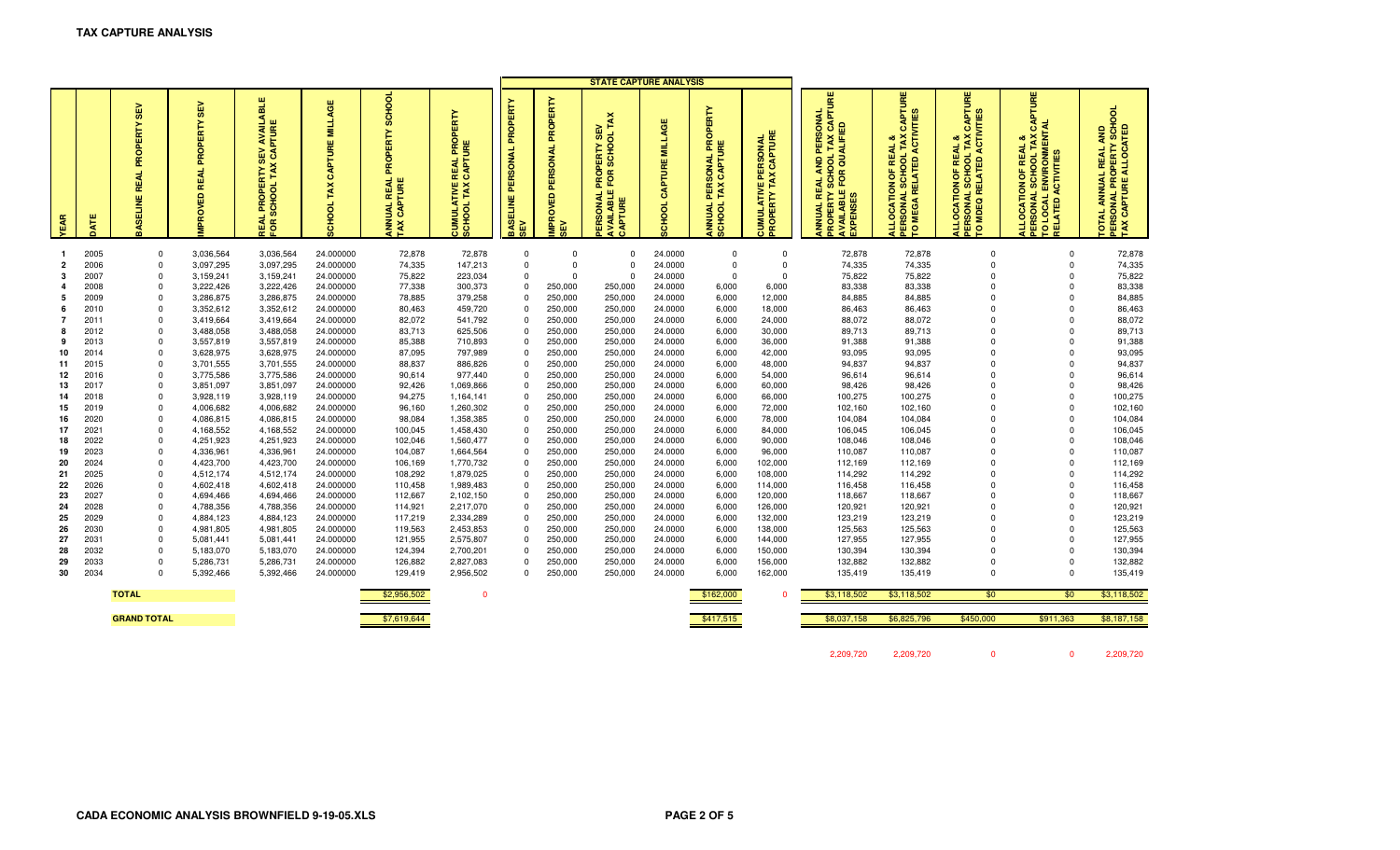|                      |              |                                              |                                                               |                                                                                                                |                                           |                                                                               |                                                                                |                                                              |                                     | <b>STATE CAPTURE ANALYSIS</b>                                                   |                                               |                                                                                                |                                                                               |                                                                                                                                                |                                                                                                                     |                                                                                                                          |                                                                                                                                    |                                                                                                                         |
|----------------------|--------------|----------------------------------------------|---------------------------------------------------------------|----------------------------------------------------------------------------------------------------------------|-------------------------------------------|-------------------------------------------------------------------------------|--------------------------------------------------------------------------------|--------------------------------------------------------------|-------------------------------------|---------------------------------------------------------------------------------|-----------------------------------------------|------------------------------------------------------------------------------------------------|-------------------------------------------------------------------------------|------------------------------------------------------------------------------------------------------------------------------------------------|---------------------------------------------------------------------------------------------------------------------|--------------------------------------------------------------------------------------------------------------------------|------------------------------------------------------------------------------------------------------------------------------------|-------------------------------------------------------------------------------------------------------------------------|
| <b>TEAR</b>          | 능            | <b>SEV</b><br>PROPERTY<br>REAL<br>ELINE<br>9 | <b>SEV</b><br>È<br>π<br>PROP<br><b>REAL</b><br><b>MPROVED</b> | BLE<br><b>III</b><br>틡<br>CAPTUR<br>읎<br><b>SC</b><br>TAX<br>Ĕ<br>SCHOOL<br>붙<br>운<br>÷<br>ă<br>$\overline{5}$ | ₩<br>Ξ,<br>CAPTURE<br>TAX<br><b>OOHOO</b> | <b>SCHOOL</b><br>PROPERTY<br><b>REAL</b><br>TURE<br><b>UALI</b><br>CAPT<br>ξă | <b>PROPERTY</b><br><b>REAL</b><br>CAPTI<br>ATIVE<br>IL TAX<br>CUMULA<br>SCHOOL | ERTY<br>ទ<br>Æ<br>ERSONAL<br>$\mathbf{a}$<br>BASELINE<br>SEV | PERSONAL PROPERTY<br><b>MPROVED</b> | TAX<br><b>DOHOS</b><br>ᡖ<br>FOR<br><b>ILABLE</b><br><b>SONAL</b><br>APTUR<br>Œ. | ш<br><b>MILLAG</b><br>CAPTURE<br><b>CHOOL</b> | 홃<br>O<br>œ<br>$\mathbf{a}$<br><b>SONAL I</b><br>CAPTUI<br>TAX<br>岊<br><b>ANNUAL</b><br>SCHOOL | ERSONAL<br>CAPTURE<br>뿐<br>TAX<br>ш<br><b>ATN</b><br>PROPERTY<br><b>SUMUL</b> | CAPTURE<br>PERSONAL<br>QUALIFIED<br>TAX<br>ಕ<br>AND<br>FOR<br>ō<br><b>REAL</b><br>ഗ<br>ш<br>PERTY<br><b>XPENSES</b><br>긂<br><b>NNUAL</b><br>ဝူ | PTURE<br><b>ACTIVITI</b><br>ే<br>TAX<br>oð.<br>REAL<br>L SCHOOL<br>۴F<br>ALLOCATION (<br>PERSONAL SC<br>TO MEGA REL | PTURE<br>L TAX CAPTL<br>ACTIVITIES<br>œ<br><b>OF REAL</b><br>ALLOCATION OF REA<br>PERSONAL SCHOOL T<br>TO MDEQ RELATED A | PTURE<br>к<br><b>ERSONAL SCHOOL TAX<br/>O LOCAL ENVIRONMENT</b><br>οð<br><b>REAL</b><br>ACTIVITIE<br>Ъ<br>LLOCATION<br>ELATED<br>p | ಕ<br><b>SONAL PROPERTY SCHO<br/>CAPTURE ALLOCATED</b><br><b>QNA</b><br><b>ANNUAL REAL</b><br><b>DATO</b><br>PERS<br>TAX |
|                      |              |                                              |                                                               |                                                                                                                |                                           |                                                                               |                                                                                |                                                              |                                     |                                                                                 |                                               |                                                                                                |                                                                               |                                                                                                                                                |                                                                                                                     |                                                                                                                          |                                                                                                                                    |                                                                                                                         |
| -1<br>$\overline{2}$ | 2005         | $\mathbf{0}$<br>$\mathbf{0}$                 | 3,036,564                                                     | 3,036,564                                                                                                      | 24.000000                                 | 72,878                                                                        | 72,878                                                                         | 0<br>$\mathbf 0$                                             | $\mathbf 0$<br>$\overline{0}$       | $\Omega$<br>$\Omega$                                                            | 24.0000                                       | $\mathbf 0$<br>$\mathbf 0$                                                                     | 0<br>$\mathbf 0$                                                              | 72,878                                                                                                                                         | 72,878                                                                                                              | $\Omega$<br>$\mathbf 0$                                                                                                  | $\Omega$<br>$\mathbf 0$                                                                                                            | 72,878<br>74,335                                                                                                        |
| 3                    | 2006<br>2007 | $\mathbf{0}$                                 | 3,097,295<br>3,159,241                                        | 3,097,295<br>3,159,241                                                                                         | 24.000000<br>24.000000                    | 74,335<br>75,822                                                              | 147,213<br>223,034                                                             | $\mathbf 0$                                                  | $\Omega$                            | $\Omega$                                                                        | 24.0000<br>24.0000                            | $\mathbf 0$                                                                                    | $\mathbf 0$                                                                   | 74,335<br>75,822                                                                                                                               | 74,335<br>75,822                                                                                                    | $\Omega$                                                                                                                 | $\Omega$                                                                                                                           | 75,822                                                                                                                  |
| 4                    | 2008         | $\mathbf 0$                                  | 3,222,426                                                     | 3,222,426                                                                                                      | 24.000000                                 | 77,338                                                                        | 300,373                                                                        | 0                                                            | 250,000                             | 250,000                                                                         | 24.0000                                       | 6,000                                                                                          | 6,000                                                                         | 83,338                                                                                                                                         | 83,338                                                                                                              | $\mathbf 0$                                                                                                              | $\Omega$                                                                                                                           | 83,338                                                                                                                  |
| 5                    | 2009         | $\mathbf{0}$                                 | 3,286,875                                                     | 3,286,875                                                                                                      | 24.000000                                 | 78,885                                                                        | 379,258                                                                        | $\Omega$                                                     | 250,000                             | 250,000                                                                         | 24.0000                                       | 6,000                                                                                          | 12,000                                                                        | 84,885                                                                                                                                         | 84,885                                                                                                              | $\Omega$                                                                                                                 | $\Omega$                                                                                                                           | 84,885                                                                                                                  |
| 6                    | 2010         | $\mathbf 0$                                  | 3,352,612                                                     | 3,352,612                                                                                                      | 24.000000                                 | 80,463                                                                        | 459,720                                                                        | 0                                                            | 250,000                             | 250,000                                                                         | 24.0000                                       | 6,000                                                                                          | 18,000                                                                        | 86,463                                                                                                                                         | 86,463                                                                                                              | $\Omega$                                                                                                                 | $\Omega$                                                                                                                           | 86,463                                                                                                                  |
| $\overline{7}$       | 2011         | $\mathbf{0}$                                 | 3,419,664                                                     | 3,419,664                                                                                                      | 24.000000                                 | 82,072                                                                        | 541,792                                                                        | $\mathbf 0$                                                  | 250,000                             | 250,000                                                                         | 24.0000                                       | 6,000                                                                                          | 24,000                                                                        | 88,072                                                                                                                                         | 88,072                                                                                                              | $\Omega$                                                                                                                 | $\Omega$                                                                                                                           | 88,072                                                                                                                  |
| 8                    | 2012         | $\mathbf{0}$                                 | 3,488,058                                                     | 3,488,058                                                                                                      | 24.000000                                 | 83,713                                                                        | 625,506                                                                        | $^{\circ}$                                                   | 250,000                             | 250,000                                                                         | 24.0000                                       | 6,000                                                                                          | 30,000                                                                        | 89,713                                                                                                                                         | 89,713                                                                                                              | $\Omega$                                                                                                                 | $\Omega$                                                                                                                           | 89,713                                                                                                                  |
| 9                    | 2013         | $\mathbf{0}$                                 | 3,557,819                                                     | 3,557,819                                                                                                      | 24.000000                                 | 85,388                                                                        | 710,893                                                                        | $\mathbf 0$                                                  | 250,000                             | 250,000                                                                         | 24.0000                                       | 6,000                                                                                          | 36,000                                                                        | 91,388                                                                                                                                         | 91,388                                                                                                              | $\Omega$                                                                                                                 | $\Omega$                                                                                                                           | 91,388                                                                                                                  |
| 10                   | 2014         | $\mathbf{0}$                                 | 3,628,975                                                     | 3,628,975                                                                                                      | 24.000000                                 | 87,095                                                                        | 797,989                                                                        | $\Omega$                                                     | 250,000                             | 250,000                                                                         | 24.0000                                       | 6,000                                                                                          | 42,000                                                                        | 93,095                                                                                                                                         | 93,095                                                                                                              | $\Omega$                                                                                                                 | $\Omega$                                                                                                                           | 93,095                                                                                                                  |
| 11                   | 2015         | $\mathbf{0}$                                 | 3,701,555                                                     | 3,701,555                                                                                                      | 24.000000                                 | 88,837                                                                        | 886,826                                                                        | $^{\circ}$                                                   | 250,000                             | 250,000                                                                         | 24.0000                                       | 6,000                                                                                          | 48,000                                                                        | 94,837                                                                                                                                         | 94,837                                                                                                              | $\mathbf 0$                                                                                                              | $\mathbf 0$                                                                                                                        | 94,837                                                                                                                  |
| 12                   | 2016         | $\mathbf 0$                                  | 3,775,586                                                     | 3,775,586                                                                                                      | 24.000000                                 | 90,614                                                                        | 977,440                                                                        | $^{\circ}$                                                   | 250,000                             | 250,000                                                                         | 24.0000                                       | 6,000                                                                                          | 54,000                                                                        | 96,614                                                                                                                                         | 96,614                                                                                                              | $\Omega$                                                                                                                 | $\Omega$                                                                                                                           | 96,614                                                                                                                  |
| 13                   | 2017         | $\mathbf{0}$                                 | 3,851,097                                                     | 3,851,097                                                                                                      | 24.000000                                 | 92,426                                                                        | 1,069,866                                                                      | $\mathbf 0$                                                  | 250,000                             | 250,000                                                                         | 24.0000                                       | 6,000                                                                                          | 60,000                                                                        | 98,426                                                                                                                                         | 98,426                                                                                                              | $\mathbf 0$                                                                                                              | $\Omega$                                                                                                                           | 98,426                                                                                                                  |
| 14                   | 2018         | $\mathbf{0}$                                 | 3,928,119                                                     | 3,928,119                                                                                                      | 24.000000                                 | 94,275                                                                        | 1,164,141                                                                      | 0                                                            | 250,000                             | 250,000                                                                         | 24.0000                                       | 6,000                                                                                          | 66,000                                                                        | 100,275                                                                                                                                        | 100,275                                                                                                             | $\Omega$                                                                                                                 | 0                                                                                                                                  | 100,275                                                                                                                 |
| 15                   | 2019         | $\mathbf 0$                                  | 4,006,682                                                     | 4,006,682                                                                                                      | 24.000000                                 | 96,160                                                                        | 1,260,302                                                                      | $\mathbf 0$                                                  | 250,000                             | 250,000                                                                         | 24.0000                                       | 6,000                                                                                          | 72,000                                                                        | 102,160                                                                                                                                        | 102,160                                                                                                             | $\Omega$                                                                                                                 | $\Omega$                                                                                                                           | 102,160                                                                                                                 |
| 16                   | 2020         | $\mathbf 0$                                  | 4,086,815                                                     | 4,086,815                                                                                                      | 24.000000                                 | 98,084                                                                        | 1,358,385                                                                      | $^{\circ}$                                                   | 250,000                             | 250,000                                                                         | 24.0000                                       | 6,000                                                                                          | 78,000                                                                        | 104,084                                                                                                                                        | 104,084                                                                                                             | $\Omega$                                                                                                                 | $\Omega$                                                                                                                           | 104,084                                                                                                                 |
| 17                   | 2021         | $\mathbf{0}$                                 | 4,168,552                                                     | 4,168,552                                                                                                      | 24.000000                                 | 100,045                                                                       | 1,458,430                                                                      | $^{\circ}$                                                   | 250,000                             | 250,000                                                                         | 24.0000                                       | 6,000                                                                                          | 84,000                                                                        | 106,045                                                                                                                                        | 106,045                                                                                                             | $\Omega$                                                                                                                 | $\Omega$                                                                                                                           | 106,045                                                                                                                 |
| 18                   | 2022         | $\mathbf 0$                                  | 4,251,923                                                     | 4,251,923                                                                                                      | 24.000000                                 | 102,046                                                                       | 1,560,477                                                                      | $^{\circ}$                                                   | 250,000                             | 250,000                                                                         | 24.0000                                       | 6,000                                                                                          | 90,000                                                                        | 108,046                                                                                                                                        | 108,046                                                                                                             | $\Omega$                                                                                                                 | $\Omega$                                                                                                                           | 108,046                                                                                                                 |
| 19                   | 2023         | $\mathbf{0}$                                 | 4,336,961                                                     | 4,336,961                                                                                                      | 24.000000                                 | 104,087                                                                       | 1,664,564                                                                      | 0                                                            | 250,000                             | 250,000                                                                         | 24.0000                                       | 6,000                                                                                          | 96,000                                                                        | 110,087                                                                                                                                        | 110,087                                                                                                             | $\mathbf 0$                                                                                                              | $\Omega$                                                                                                                           | 110,087                                                                                                                 |
| 20                   | 2024         | $\mathbf 0$                                  | 4,423,700                                                     | 4,423,700                                                                                                      | 24.000000                                 | 106,169                                                                       | 1,770,732                                                                      | $^{\circ}$                                                   | 250,000                             | 250,000                                                                         | 24.0000                                       | 6,000                                                                                          | 102,000                                                                       | 112,169                                                                                                                                        | 112,169                                                                                                             | $\Omega$                                                                                                                 | $\Omega$                                                                                                                           | 112,169                                                                                                                 |
| 21                   | 2025         | $\mathbf 0$                                  | 4,512,174                                                     | 4,512,174                                                                                                      | 24.000000                                 | 108,292                                                                       | 1,879,025                                                                      | 0                                                            | 250,000                             | 250,000                                                                         | 24.0000                                       | 6,000                                                                                          | 108,000                                                                       | 114,292                                                                                                                                        | 114,292                                                                                                             | $\Omega$                                                                                                                 | $\Omega$                                                                                                                           | 114,292                                                                                                                 |
| 22                   | 2026         | $\Omega$                                     | 4,602,418                                                     | 4,602,418                                                                                                      | 24.000000                                 | 110,458                                                                       | 1,989,483                                                                      | $\mathbf 0$                                                  | 250,000                             | 250,000                                                                         | 24.0000                                       | 6,000                                                                                          | 114,000                                                                       | 116,458                                                                                                                                        | 116,458                                                                                                             | $\Omega$                                                                                                                 | $\Omega$                                                                                                                           | 116,458                                                                                                                 |
| 23                   | 2027         | $\mathbf 0$                                  | 4,694,466                                                     | 4,694,466                                                                                                      | 24.000000                                 | 112,667                                                                       | 2,102,150                                                                      | $^{\circ}$                                                   | 250,000                             | 250,000                                                                         | 24.0000                                       | 6,000                                                                                          | 120,000                                                                       | 118,667                                                                                                                                        | 118,667                                                                                                             | $\Omega$                                                                                                                 | $\Omega$                                                                                                                           | 118,667                                                                                                                 |
| 24                   | 2028         | $\mathbf 0$                                  | 4,788,356                                                     | 4,788,356                                                                                                      | 24.000000                                 | 114,921                                                                       | 2,217,070                                                                      | $\Omega$                                                     | 250,000                             | 250,000                                                                         | 24.0000                                       | 6,000                                                                                          | 126,000                                                                       | 120,921                                                                                                                                        | 120,921                                                                                                             | $\Omega$                                                                                                                 | $\Omega$                                                                                                                           | 120,921                                                                                                                 |
| 25                   | 2029         | $\mathbf{0}$                                 | 4,884,123                                                     | 4,884,123                                                                                                      | 24.000000                                 | 117,219                                                                       | 2,334,289                                                                      | 0                                                            | 250,000                             | 250,000                                                                         | 24.0000                                       | 6,000                                                                                          | 132,000                                                                       | 123,219                                                                                                                                        | 123,219                                                                                                             | $\Omega$                                                                                                                 | $\Omega$                                                                                                                           | 123,219                                                                                                                 |
| 26                   | 2030         | $\mathbf{0}$                                 | 4,981,805                                                     | 4,981,805                                                                                                      | 24.000000                                 | 119,563                                                                       | 2,453,853                                                                      | $^{\circ}$                                                   | 250,000                             | 250,000                                                                         | 24.0000                                       | 6,000                                                                                          | 138,000                                                                       | 125,563                                                                                                                                        | 125,563                                                                                                             | $\Omega$<br>$\Omega$                                                                                                     | $\Omega$                                                                                                                           | 125,563                                                                                                                 |
| 27<br>28             | 2031<br>2032 | $\mathbf 0$<br>$\mathbf 0$                   | 5,081,441<br>5,183,070                                        | 5,081,441                                                                                                      | 24.000000                                 | 121,955<br>124,394                                                            | 2,575,807                                                                      | $\Omega$<br>$\mathbf{0}$                                     | 250,000<br>250,000                  | 250,000<br>250,000                                                              | 24.0000<br>24.0000                            | 6,000                                                                                          | 144,000                                                                       | 127,955<br>130,394                                                                                                                             | 127,955<br>130,394                                                                                                  | $\Omega$                                                                                                                 | $\Omega$<br>$\mathbf 0$                                                                                                            | 127,955<br>130,394                                                                                                      |
| 29                   | 2033         | $\mathbf 0$                                  | 5,286,731                                                     | 5,183,070<br>5,286,731                                                                                         | 24.000000<br>24.000000                    | 126,882                                                                       | 2,700,201<br>2,827,083                                                         | $\Omega$                                                     | 250,000                             | 250,000                                                                         | 24.0000                                       | 6,000<br>6,000                                                                                 | 150,000<br>156,000                                                            | 132,882                                                                                                                                        | 132,882                                                                                                             | $\Omega$                                                                                                                 | $\Omega$                                                                                                                           | 132,882                                                                                                                 |
| 30                   | 2034         | $\Omega$                                     | 5,392,466                                                     | 5,392,466                                                                                                      | 24.000000                                 | 129,419                                                                       | 2,956,502                                                                      | $\Omega$                                                     | 250,000                             | 250,000                                                                         | 24.0000                                       | 6,000                                                                                          | 162,000                                                                       | 135,419                                                                                                                                        | 135,419                                                                                                             | $\mathbf 0$                                                                                                              | $\Omega$                                                                                                                           | 135,419                                                                                                                 |
|                      |              |                                              |                                                               |                                                                                                                |                                           |                                                                               |                                                                                |                                                              |                                     |                                                                                 |                                               |                                                                                                |                                                                               |                                                                                                                                                |                                                                                                                     |                                                                                                                          |                                                                                                                                    |                                                                                                                         |
|                      |              | <b>TOTAL</b>                                 |                                                               |                                                                                                                |                                           | \$2,956,502                                                                   | $\mathbf 0$                                                                    |                                                              |                                     |                                                                                 |                                               | \$162,000                                                                                      |                                                                               | \$3,118,502                                                                                                                                    | \$3,118,502                                                                                                         | \$0                                                                                                                      | \$0                                                                                                                                | \$3,118,502                                                                                                             |
|                      |              | <b>GRAND TOTAL</b>                           |                                                               |                                                                                                                |                                           | \$7,619,644                                                                   |                                                                                |                                                              |                                     |                                                                                 |                                               | \$417,515                                                                                      |                                                                               | \$8,037,158                                                                                                                                    | \$6,825,796                                                                                                         | \$450,000                                                                                                                | \$911,363                                                                                                                          | \$8,187,158                                                                                                             |
|                      |              |                                              |                                                               |                                                                                                                |                                           |                                                                               |                                                                                |                                                              |                                     |                                                                                 |                                               |                                                                                                |                                                                               |                                                                                                                                                |                                                                                                                     |                                                                                                                          |                                                                                                                                    |                                                                                                                         |
|                      |              |                                              |                                                               |                                                                                                                |                                           |                                                                               |                                                                                |                                                              |                                     |                                                                                 |                                               |                                                                                                |                                                                               | 2,209,720                                                                                                                                      | 2,209,720                                                                                                           | $\Omega$                                                                                                                 | $\Omega$                                                                                                                           | 2,209,720                                                                                                               |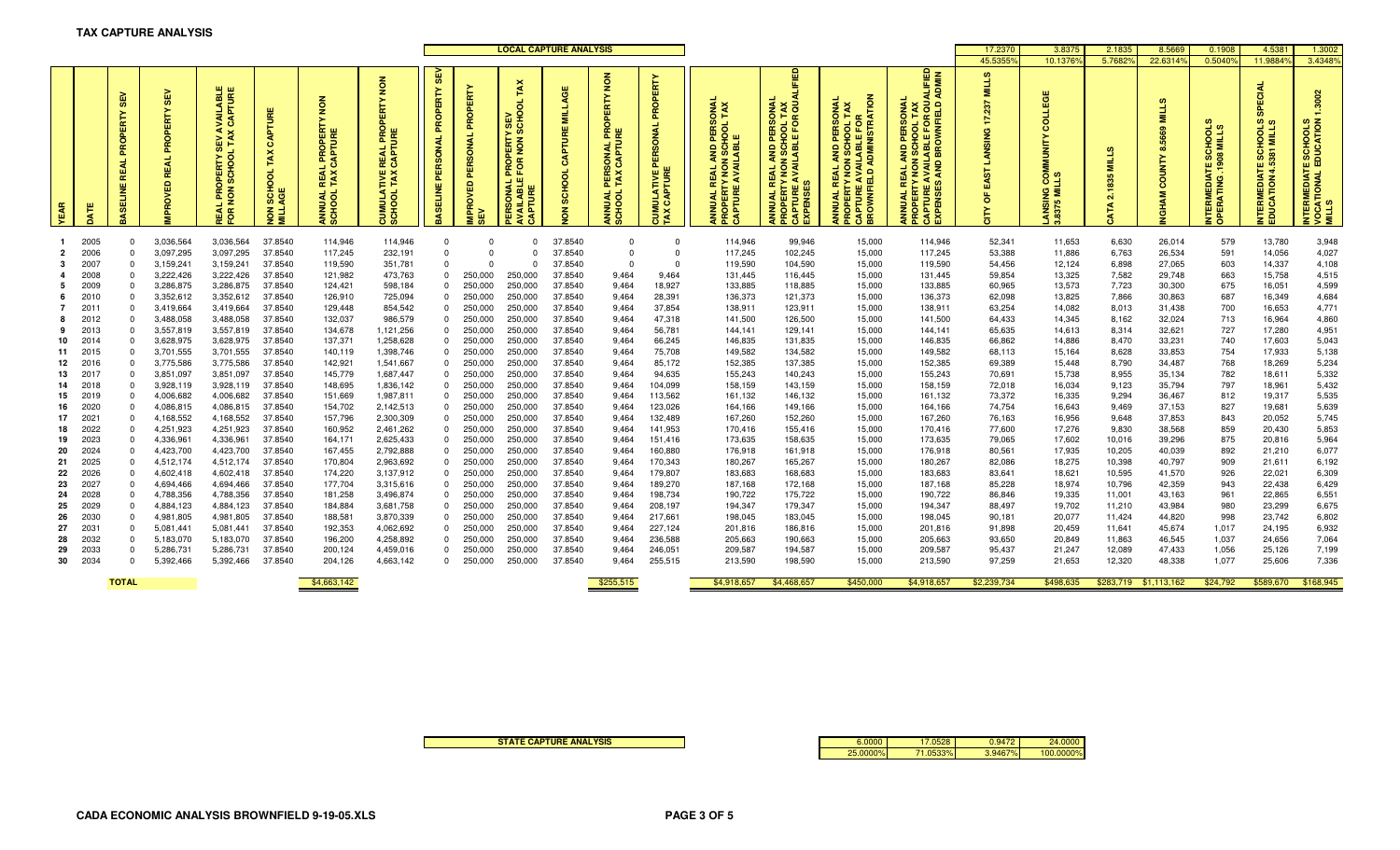|                |              |                                             |                                                  |                                                                                                           |                             |                                                                                       |                                                                                      |                                               | <b>LOCAL CAPTURE ANALYSIS</b>             |                                                                      |                                  |                                                                          |                                                              |                                                                                                                                                           |                                                                                                                                                         | 17,2370                                                                                                                                                     | 3.837                                                                                                                                                                   | 2.1835                                                            | 8.5669           | 0.1908           | 4.538                                                | 1.3002                                                          |                                                            |                                                               |
|----------------|--------------|---------------------------------------------|--------------------------------------------------|-----------------------------------------------------------------------------------------------------------|-----------------------------|---------------------------------------------------------------------------------------|--------------------------------------------------------------------------------------|-----------------------------------------------|-------------------------------------------|----------------------------------------------------------------------|----------------------------------|--------------------------------------------------------------------------|--------------------------------------------------------------|-----------------------------------------------------------------------------------------------------------------------------------------------------------|---------------------------------------------------------------------------------------------------------------------------------------------------------|-------------------------------------------------------------------------------------------------------------------------------------------------------------|-------------------------------------------------------------------------------------------------------------------------------------------------------------------------|-------------------------------------------------------------------|------------------|------------------|------------------------------------------------------|-----------------------------------------------------------------|------------------------------------------------------------|---------------------------------------------------------------|
|                |              |                                             |                                                  |                                                                                                           |                             |                                                                                       |                                                                                      |                                               |                                           |                                                                      |                                  |                                                                          |                                                              |                                                                                                                                                           |                                                                                                                                                         |                                                                                                                                                             |                                                                                                                                                                         | 45.5355                                                           | 10.13769         | 5.7682           | 22.6314                                              | 0.5040                                                          | 11.9884                                                    | 3.4348%                                                       |
| EAR            | Ę            | <b>SC</b><br>$\mathbf{r}$<br>$\overline{a}$ | <b>SEV</b><br>PROPERTY<br>R<br>VED<br><b>PRO</b> | VAILABLE<br>CAPTURE<br>$\triangleleft$ $\times$<br>DPERTY <sup>S</sup><br>SCHOOL<br>NON<br>$\overline{5}$ | CAPTU<br>TAX<br>SCHOOL<br>종 | 3<br>2<br>E<br><b>IL PROPERT</b><br>CCAPTURE<br><b>REA</b><br><b>ANNUAL</b><br>SCHOOL | $\frac{8}{2}$<br>ō<br>E E<br><b>REAL</b><br>CAPTI<br><b>TAX</b><br>CUMULAT<br>SCHOOL | <b>SEV</b><br>PROPERTY<br>PERSONAL<br>ASELINE | PROPERTY<br>PERSONAL<br>IMPROVED I<br>SEV | PROPERTY SEV<br>FOR NON SCHO<br>PERSONAL F<br>NVAILABLE I<br>昌<br>ਤੇ | 쁭<br>Ē<br>CAPTURE<br>SCHOOL<br>종 | $\frac{8}{2}$<br>PERTY<br>LPRO<br>UNE<br>PERSONAL<br>TAX CAPTU<br>ANNUAL | PROPERTY<br>PERSONAL<br>CAPTURE<br>ATIVE<br>Б<br>CUMI<br>TAX | $\overline{2}$ $\overline{3}$<br>o<br>없<br>SCHO<br>ABLE<br>$\overline{2}$<br><b>TIRAN</b><br>AVAIL<br>$\simeq$<br><b>ANNUAL R<br/>PROPERT\</b><br>CAPTURE | <b>AND PERSONAL<br/>I SCHOOL TAX<br/>ABLE FOR QU</b><br><b>JAL REAL AN<br/>DERTY NON STURE AVALUATE</b><br><b>INNUAL</b><br><b>ENSI</b><br>ANNI<br>PROI | <b>ADMINISTRATION</b><br>PERSONAL<br>HOOL TAX<br><b>Lool</b><br><b>UNAND</b><br><b>REAL</b><br>$\frac{0}{h}$<br><b>CAPTURE</b><br>BROWNFIE<br><b>INNUAL</b> | <b>ADMIN</b><br><b>BROWNFIELD</b><br>PERSONAI<br>HOOL TAX<br>5<br><b>CHOO</b><br>ш<br>ION SCH<br>m<br><b>AND</b><br><b>REAL</b><br><b>EXPENSES</b><br><b>UNUAL</b><br>œ | <b>MILLS</b><br>237<br>F.<br><b>LANSING</b><br>ίó,<br>đ<br>ő<br>Ĕ | 8375             | Ē<br>835<br>N    | ி<br>Ē<br>5669<br>$\infty$<br>COUNTY<br><b>VGHAM</b> | ಕೆ ಇ<br>옻 를<br>TE SC<br>.1908 I<br><b>VTERMEDIA</b><br>PERATING | 굡<br><b>ATE SCHOOLS</b><br><b>INTERMEDIAT</b><br>EDUCATION | 3002<br>INTERMEDIATE SCHOOLS<br>VOCATIONAL EDUCATION<br>MILLS |
|                | 2005         | $\Omega$                                    | 3,036,564                                        | 3,036,564                                                                                                 | 37.8540                     | 114,946                                                                               | 114,946                                                                              | $\Omega$                                      | $\Omega$                                  | $\Omega$                                                             | 37.8540                          | $\Omega$                                                                 | $\Omega$                                                     | 114,946                                                                                                                                                   | 99,946                                                                                                                                                  | 15,000                                                                                                                                                      | 114,946                                                                                                                                                                 | 52,341                                                            | 11,653           | 6,630            | 26,014                                               | 579                                                             | 13,780                                                     | 3,948                                                         |
| $\overline{2}$ | 2006         | $\Omega$                                    | 3,097,295                                        | 3,097,295                                                                                                 | 37.8540                     | 117,245                                                                               | 232,191                                                                              | $\Omega$                                      | $\Omega$                                  | $\Omega$                                                             | 37.8540                          | $\Omega$                                                                 | $\Omega$                                                     | 117,245                                                                                                                                                   | 102,245                                                                                                                                                 | 15,000                                                                                                                                                      | 117,245                                                                                                                                                                 | 53,388                                                            | 11,886           | 6,763            | 26,534                                               | 591                                                             | 14,056                                                     | 4,027                                                         |
|                | 2007         | $\Omega$                                    | 3,159,241                                        | 3,159,241                                                                                                 | 37.8540                     | 119,590                                                                               | 351,781                                                                              | $\Omega$                                      | $\Omega$                                  | $\Omega$                                                             | 37.8540                          | $\Omega$                                                                 | $\Omega$                                                     | 119,590                                                                                                                                                   | 104,590                                                                                                                                                 | 15,000                                                                                                                                                      | 119,590                                                                                                                                                                 | 54,456                                                            | 12,124           | 6,898            | 27,065                                               | 603                                                             | 14,337                                                     | 4,108                                                         |
|                | 2008         | $\Omega$                                    | 3,222,426                                        | 3,222,426                                                                                                 | 37.8540                     | 121,982                                                                               | 473,763                                                                              | $\Omega$                                      | 250,000                                   | 250,000                                                              | 37.8540                          | 9,464                                                                    | 9,464                                                        | 131,445                                                                                                                                                   | 116,445                                                                                                                                                 | 15,000                                                                                                                                                      | 131,445                                                                                                                                                                 | 59,854                                                            | 13,325           | 7,582            | 29,748                                               | 663                                                             | 15,758                                                     | 4,515                                                         |
| 5.             | 2009         | $\Omega$                                    | 3,286,875                                        | 3,286,875                                                                                                 | 37.8540                     | 124,421                                                                               | 598,184                                                                              | $\Omega$                                      | 250,000                                   | 250,000                                                              | 37.8540                          | 9,464                                                                    | 18,927                                                       | 133,885                                                                                                                                                   | 118,885                                                                                                                                                 | 15,000                                                                                                                                                      | 133,885                                                                                                                                                                 | 60,965                                                            | 13,573           | 7,723            | 30,300                                               | 675                                                             | 16,051                                                     | 4,599                                                         |
| 6              | 2010         | $\Omega$                                    | 3,352,612                                        | 3,352,612                                                                                                 | 37.8540                     | 126,910                                                                               | 725,094                                                                              | $\Omega$                                      | 250,000                                   | 250,000                                                              | 37.8540                          | 9,464                                                                    | 28,391                                                       | 136,373                                                                                                                                                   | 121,373                                                                                                                                                 | 15,000                                                                                                                                                      | 136,373                                                                                                                                                                 | 62,098                                                            | 13,825           | 7,866            | 30,863                                               | 687                                                             | 16,349                                                     | 4,684                                                         |
|                | 2011         | $\Omega$                                    | 3,419,664                                        | 3,419,664                                                                                                 | 37.8540                     | 129,448                                                                               | 854,542                                                                              | $\Omega$                                      | 250,000                                   | 250,000                                                              | 37.8540                          | 9,464                                                                    | 37,854                                                       | 138,911                                                                                                                                                   | 123,911                                                                                                                                                 | 15,000                                                                                                                                                      | 138,911                                                                                                                                                                 | 63,254                                                            | 14,082           | 8,013            | 31,438                                               | 700                                                             | 16,653                                                     | 4,771                                                         |
|                | 2012         | $\Omega$                                    | 3,488,058                                        | 3,488,058                                                                                                 | 37.8540                     | 132,037                                                                               | 986,579                                                                              | $\Omega$                                      | 250,000                                   | 250,000                                                              | 37.8540                          | 9,464                                                                    | 47,318                                                       | 141,500                                                                                                                                                   | 126,500                                                                                                                                                 | 15,000                                                                                                                                                      | 141,500                                                                                                                                                                 | 64,433                                                            | 14,345           | 8,162            | 32,024                                               | 713                                                             | 16,964                                                     | 4,860                                                         |
| 9<br>10        | 2013<br>2014 | $\Omega$<br>$\Omega$                        | 3,557,819<br>3,628,975                           | 3,557,819<br>3,628,975                                                                                    | 37.8540<br>37.8540          | 134,678<br>137,371                                                                    | 1,121,256<br>1,258,628                                                               | $\Omega$<br>$\Omega$                          | 250,000<br>250,000                        | 250,000<br>250,000                                                   | 37.8540<br>37.8540               | 9,464<br>9,464                                                           | 56,781<br>66,245                                             | 144,141<br>146,835                                                                                                                                        | 129,141<br>131,835                                                                                                                                      | 15,000<br>15,000                                                                                                                                            | 144,141<br>146,835                                                                                                                                                      | 65,635<br>66,862                                                  | 14,613<br>14,886 | 8,314<br>8,470   | 32,621<br>33,231                                     | 727<br>740                                                      | 17,280<br>17,603                                           | 4,951<br>5,043                                                |
| 11             | 2015         | $\Omega$                                    | 3,701,555                                        | 3,701,555                                                                                                 | 37.8540                     | 140,119                                                                               | 1,398,746                                                                            | $\Omega$                                      | 250,000                                   | 250,000                                                              | 37.8540                          | 9,464                                                                    | 75,708                                                       | 149,582                                                                                                                                                   | 134,582                                                                                                                                                 | 15,000                                                                                                                                                      | 149,582                                                                                                                                                                 | 68,113                                                            | 15,164           | 8,628            | 33,853                                               | 754                                                             | 17,933                                                     | 5,138                                                         |
|                | 12 2016      | $\Omega$                                    | 3,775,586                                        | 3,775,586                                                                                                 | 37.8540                     | 142,921                                                                               | 1,541,667                                                                            | $\Omega$                                      | 250,000                                   | 250,000                                                              | 37.8540                          | 9,464                                                                    | 85,172                                                       | 152,385                                                                                                                                                   | 137,385                                                                                                                                                 | 15,000                                                                                                                                                      | 152,385                                                                                                                                                                 | 69,389                                                            | 15,448           | 8,790            | 34,487                                               | 768                                                             | 18,269                                                     | 5,234                                                         |
|                | 13 2017      | $\Omega$                                    | 3,851,097                                        | 3,851,097                                                                                                 | 37.8540                     | 145,779                                                                               | 1,687,447                                                                            | $\Omega$                                      | 250,000                                   | 250,000                                                              | 37.8540                          | 9,464                                                                    | 94,635                                                       | 155,243                                                                                                                                                   | 140,243                                                                                                                                                 | 15,000                                                                                                                                                      | 155,243                                                                                                                                                                 | 70,691                                                            | 15,738           | 8,955            | 35,134                                               | 782                                                             | 18,611                                                     | 5,332                                                         |
| 14             | 2018         | $\Omega$                                    | 3,928,119                                        | 3,928,119                                                                                                 | 37.8540                     | 148,695                                                                               | 1,836,142                                                                            | $\mathbf 0$                                   | 250,000                                   | 250,000                                                              | 37.8540                          | 9,464                                                                    | 104,099                                                      | 158,159                                                                                                                                                   | 143,159                                                                                                                                                 | 15,000                                                                                                                                                      | 158,159                                                                                                                                                                 | 72,018                                                            | 16,034           | 9,123            | 35,794                                               | 797                                                             | 18,961                                                     | 5,432                                                         |
|                | 15 2019      | $\Omega$                                    | 4,006,682                                        | 4,006,682                                                                                                 | 37.8540                     | 151,669                                                                               | 1,987,811                                                                            | $\Omega$                                      | 250,000                                   | 250,000                                                              | 37.8540                          | 9,464                                                                    | 113,562                                                      | 161,132                                                                                                                                                   | 146,132                                                                                                                                                 | 15,000                                                                                                                                                      | 161,132                                                                                                                                                                 | 73,372                                                            | 16,335           | 9,294            | 36,467                                               | 812                                                             | 19,317                                                     | 5,535                                                         |
| 16             | 2020         | $\Omega$                                    | 4,086,815                                        | 4,086,815                                                                                                 | 37.8540                     | 154,702                                                                               | 2,142,513                                                                            | $\Omega$                                      | 250,000                                   | 250,000                                                              | 37.8540                          | 9,464                                                                    | 123,026                                                      | 164,166                                                                                                                                                   | 149,166                                                                                                                                                 | 15,000                                                                                                                                                      | 164,166                                                                                                                                                                 | 74,754                                                            | 16,643           | 9,469            | 37,153                                               | 827                                                             | 19,681                                                     | 5,639                                                         |
| 17             | 2021         | $\Omega$                                    | 4,168,552                                        | 4,168,552                                                                                                 | 37.8540                     | 157,796                                                                               | 2,300,309                                                                            | $\Omega$                                      | 250,000                                   | 250,000                                                              | 37.8540                          | 9,464                                                                    | 132,489                                                      | 167,260                                                                                                                                                   | 152,260                                                                                                                                                 | 15,000                                                                                                                                                      | 167,260                                                                                                                                                                 | 76,163                                                            | 16,956           | 9,648            | 37,853                                               | 843                                                             | 20,052                                                     | 5,745                                                         |
| 18             | 2022         | $\Omega$                                    | 4,251,923                                        | 4,251,923                                                                                                 | 37.8540                     | 160,952                                                                               | 2,461,262                                                                            | $\Omega$                                      | 250,000                                   | 250,000                                                              | 37.8540                          | 9,464                                                                    | 141,953                                                      | 170,416                                                                                                                                                   | 155,416                                                                                                                                                 | 15,000                                                                                                                                                      | 170,416                                                                                                                                                                 | 77,600                                                            | 17,276           | 9,830            | 38,568                                               | 859                                                             | 20,430                                                     | 5,853                                                         |
| 19             | 2023         | $\Omega$                                    | 4,336,961                                        | 4,336,961                                                                                                 | 37.8540                     | 164,171                                                                               | 2,625,433                                                                            | $\Omega$                                      | 250,000                                   | 250,000                                                              | 37.8540                          | 9,464                                                                    | 151,416                                                      | 173,635                                                                                                                                                   | 158,635                                                                                                                                                 | 15,000                                                                                                                                                      | 173,635                                                                                                                                                                 | 79,065                                                            | 17,602           | 10,016           | 39,296                                               | 875                                                             | 20,816                                                     | 5,964                                                         |
| 20             | 2024         | $\Omega$                                    | 4,423,700                                        | 4,423,700                                                                                                 | 37.8540                     | 167,455                                                                               | 2,792,888                                                                            | $\mathbf 0$                                   | 250,000                                   | 250,000                                                              | 37.8540                          | 9,464                                                                    | 160,880                                                      | 176,918                                                                                                                                                   | 161,918                                                                                                                                                 | 15,000                                                                                                                                                      | 176,918                                                                                                                                                                 | 80,561                                                            | 17,935           | 10,205           | 40,039                                               | 892                                                             | 21,210                                                     | 6,077                                                         |
| 21             | 2025         | $\Omega$                                    | 4,512,174                                        | 4,512,174                                                                                                 | 37.8540                     | 170,804                                                                               | 2,963,692                                                                            | $\Omega$                                      | 250,000                                   | 250,000                                                              | 37.8540                          | 9,464                                                                    | 170,343                                                      | 180,267                                                                                                                                                   | 165,267                                                                                                                                                 | 15,000                                                                                                                                                      | 180,267                                                                                                                                                                 | 82,086                                                            | 18,275           | 10,398           | 40,797                                               | 909                                                             | 21,611                                                     | 6,192                                                         |
| 22             | 2026         | $\Omega$                                    | 4,602,418                                        | 4,602,418                                                                                                 | 37.8540                     | 174,220                                                                               | 3,137,912                                                                            | $\Omega$                                      | 250,000                                   | 250,000                                                              | 37.8540                          | 9,464                                                                    | 179,807                                                      | 183,683                                                                                                                                                   | 168,683                                                                                                                                                 | 15,000                                                                                                                                                      | 183,683                                                                                                                                                                 | 83,641                                                            | 18,621           | 10,595           | 41,570                                               | 926                                                             | 22,021                                                     | 6,309                                                         |
| 23             | 2027<br>2028 | $\Omega$<br>$\Omega$                        | 4,694,466<br>4,788,356                           | 4,694,466                                                                                                 | 37.8540<br>37.8540          | 177,704                                                                               | 3,315,616                                                                            | $\Omega$<br>$\Omega$                          | 250,000                                   | 250,000<br>250,000                                                   | 37.8540<br>37.8540               | 9,464                                                                    | 189,270<br>198,734                                           | 187,168                                                                                                                                                   | 172,168                                                                                                                                                 | 15,000                                                                                                                                                      | 187,168                                                                                                                                                                 | 85,228                                                            | 18,974           | 10,796           | 42,359                                               | 943                                                             | 22,438<br>22,865                                           | 6,429<br>6,551                                                |
| 24<br>25       | 2029         | $\Omega$                                    | 4,884,123                                        | 4,788,356<br>4,884,123                                                                                    | 37.8540                     | 181,258<br>184,884                                                                    | 3,496,874<br>3,681,758                                                               | $\Omega$                                      | 250,000<br>250,000                        | 250,000                                                              | 37.8540                          | 9,464<br>9,464                                                           | 208,197                                                      | 190,722<br>194,347                                                                                                                                        | 175,722<br>179,347                                                                                                                                      | 15,000<br>15,000                                                                                                                                            | 190,722<br>194,347                                                                                                                                                      | 86,846<br>88,497                                                  | 19,335<br>19,702 | 11,001<br>11,210 | 43,163<br>43,984                                     | 961<br>980                                                      | 23,299                                                     | 6,675                                                         |
| 26             | 2030         | $\Omega$                                    | 4,981,805                                        | 4,981,805                                                                                                 | 37.8540                     | 188,581                                                                               | 3,870,339                                                                            | $\Omega$                                      | 250,000                                   | 250,000                                                              | 37.8540                          | 9,464                                                                    | 217,661                                                      | 198,045                                                                                                                                                   | 183,045                                                                                                                                                 | 15,000                                                                                                                                                      | 198,045                                                                                                                                                                 | 90,181                                                            | 20,077           | 11,424           | 44,820                                               | 998                                                             | 23,742                                                     | 6,802                                                         |
| 27             | 2031         | $\Omega$                                    | 5,081,441                                        | 5,081,441                                                                                                 | 37.8540                     | 192,353                                                                               | 4,062,692                                                                            | $\Omega$                                      | 250,000                                   | 250,000                                                              | 37.8540                          | 9,464                                                                    | 227,124                                                      | 201,816                                                                                                                                                   | 186,816                                                                                                                                                 | 15,000                                                                                                                                                      | 201,816                                                                                                                                                                 | 91,898                                                            | 20,459           | 11,641           | 45,674                                               | 1,017                                                           | 24,195                                                     | 6,932                                                         |
| 28             | 2032         | $\Omega$                                    | 5,183,070                                        | 5,183,070                                                                                                 | 37.8540                     | 196,200                                                                               | 4,258,892                                                                            | $\Omega$                                      | 250,000                                   | 250,000                                                              | 37.8540                          | 9,464                                                                    | 236,588                                                      | 205,663                                                                                                                                                   | 190,663                                                                                                                                                 | 15,000                                                                                                                                                      | 205,663                                                                                                                                                                 | 93,650                                                            | 20,849           | 11,863           | 46,545                                               | 1,037                                                           | 24,656                                                     | 7,064                                                         |
| 29             | 2033         | n                                           | 5,286,731                                        | 5,286,731                                                                                                 | 37.8540                     | 200,124                                                                               | 4,459,016                                                                            | $\Omega$                                      | 250,000                                   | 250,000                                                              | 37.8540                          | 9,464                                                                    | 246,051                                                      | 209,587                                                                                                                                                   | 194,587                                                                                                                                                 | 15,000                                                                                                                                                      | 209,587                                                                                                                                                                 | 95,437                                                            | 21,247           | 12,089           | 47,433                                               | 1,056                                                           | 25,126                                                     | 7,199                                                         |
|                | 30 2034      | $\Omega$                                    | 5,392,466                                        | 5,392,466                                                                                                 | 37.8540                     | 204,126                                                                               | 4,663,142                                                                            | $\Omega$                                      | 250,000                                   | 250,000                                                              | 37.8540                          | 9,464                                                                    | 255,515                                                      | 213,590                                                                                                                                                   | 198,590                                                                                                                                                 | 15,000                                                                                                                                                      | 213,590                                                                                                                                                                 | 97,259                                                            | 21,653           | 12,320           | 48,338                                               | 1,077                                                           | 25,606                                                     | 7,336                                                         |
|                |              | <b>TOTAL</b>                                |                                                  |                                                                                                           |                             | \$4,663,142                                                                           |                                                                                      |                                               |                                           |                                                                      |                                  | \$255,515                                                                |                                                              | \$4,918,657                                                                                                                                               | \$4,468,657                                                                                                                                             | \$450,000                                                                                                                                                   | \$4,918,657                                                                                                                                                             | \$2,239,734                                                       | \$498,635        |                  | \$283,719 \$1,113,162                                | \$24,792                                                        | \$589,670                                                  | \$168,945                                                     |

**STATE CAPTURE ANALYSIS**

| 6.0000   | .0528   | 0.947        | 24,0000   |
|----------|---------|--------------|-----------|
| 25.0000% | $-330/$ | 7%1<br>3.946 | 100.0000% |
|          |         |              |           |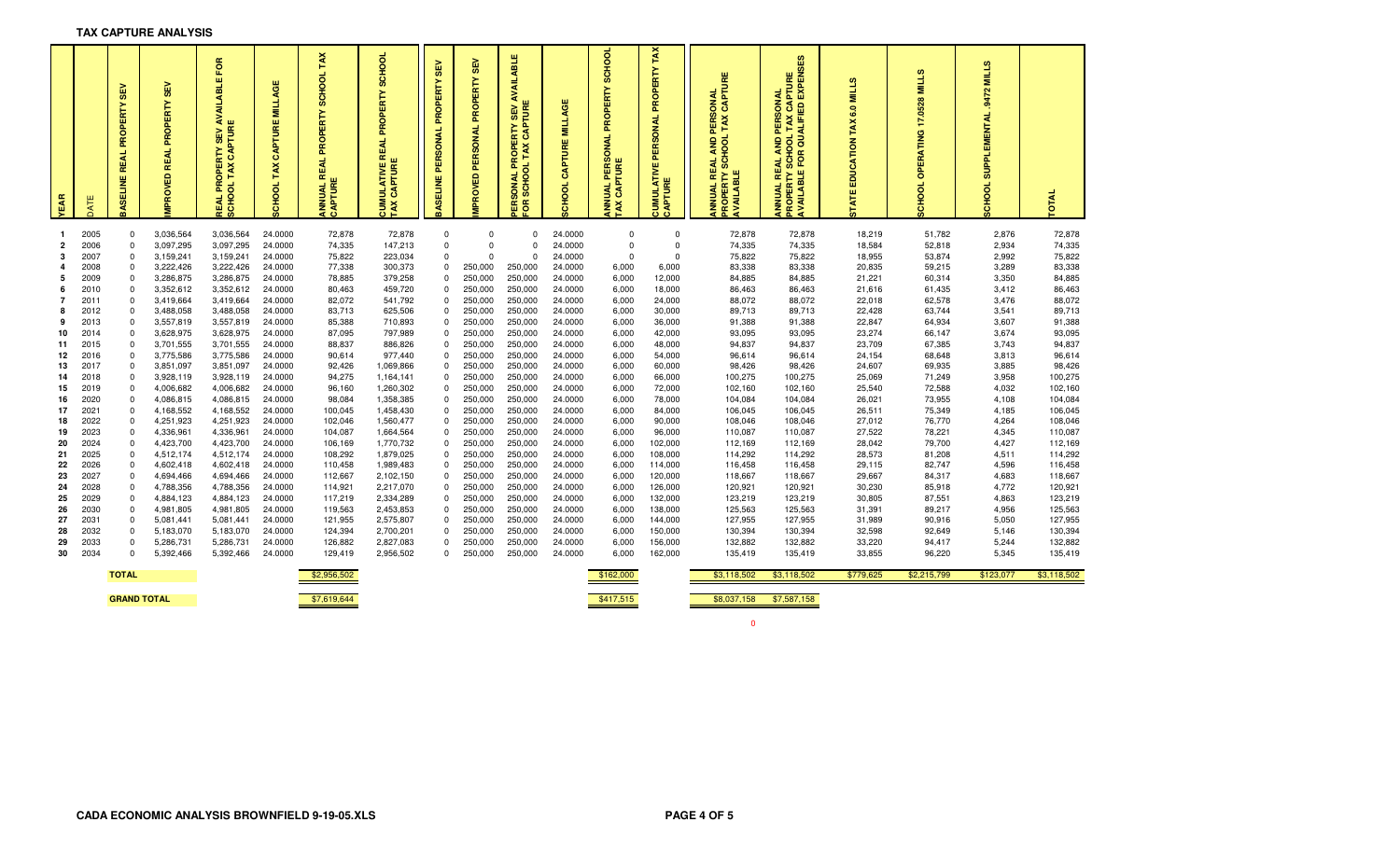| TAX CAPTURE ANALYSIS |  |
|----------------------|--|
|----------------------|--|

| YEAR           |              | ß<br>க<br>PROPERTY<br>EAL<br>œ<br><b>BASELINE</b> | $\frac{3}{25}$<br>PROPERTY<br><b>REAL</b><br><b>MPROVED</b> | . <sub>n I</sub> Y SEV AVAILABLE FOR<br>K CAPTURE<br>PROPERTY<br>TAX<br><b>REAL PRO</b><br>SCHOOL | ш<br><b>MILLAG</b><br>PTURE<br>S<br>TAX<br>POCHOOL | TAX<br><b>SCHOOL</b><br>PROPERTY<br>EAL<br><b>ANNUAL R</b><br><b>CAPTURE</b> | <b>SCHOOL</b><br>PROPERTY<br><b>REAL</b><br><b>CUMULATIVE</b><br>TAX CAPTURE | SEV<br>PROPERTY<br>PERSONA<br><b>BASELINE</b> | <b>SEV</b><br>PERSONAL PROPERTY<br><b>MPROVED</b> | LABLE<br>₹<br>₹<br><b>ERTY SEV</b><br>CAPTURE<br>TAX<br>윤<br>π.<br>ಕ<br><b>ISONAL</b><br>SCHO<br>មី ទ | <b>SCHOOL CAPTURE MILLAGE</b> | SCHOOL<br>ANNUAL PERSONAL PROPERTY<br>TAX CAPTURE | TAX<br>PROPERTY<br>PERSONAL<br>CUMULATIVE<br>CAPTURE | <u>:AL AND PERSONAL</u><br>SCHOOL TAX CAPTURE<br>띥<br>AVAILABLE<br>PROPERTY<br>œ<br>ANNUAL | <b>)OL TAX CAPTURE<br/>QUALIFIED EXPENSES</b><br>PERSONAL<br>ξ<br><b>AVAILABLE FOR</b><br><b>REAL</b><br><b>SC</b><br>ANNUAL<br>ROPEI | $\omega$<br>NII T<br>6.0<br>TAX<br>EDUCATION<br><b>STATE</b> | <b>SC</b><br><b>NIITY</b><br>0528<br>7<br>G<br>OPERATIN<br>8<br>품 | <b>MILLS</b><br>.9472<br><b>SUPPLEMENTAL</b><br><b>SCHOOL</b> | <b>OTAL</b>        |
|----------------|--------------|---------------------------------------------------|-------------------------------------------------------------|---------------------------------------------------------------------------------------------------|----------------------------------------------------|------------------------------------------------------------------------------|------------------------------------------------------------------------------|-----------------------------------------------|---------------------------------------------------|-------------------------------------------------------------------------------------------------------|-------------------------------|---------------------------------------------------|------------------------------------------------------|--------------------------------------------------------------------------------------------|---------------------------------------------------------------------------------------------------------------------------------------|--------------------------------------------------------------|-------------------------------------------------------------------|---------------------------------------------------------------|--------------------|
| -1             | 2005         | $\mathbf 0$                                       | 3,036,564                                                   | 3,036,564                                                                                         | 24.0000                                            | 72,878                                                                       | 72,878                                                                       | 0                                             | $\mathbf 0$                                       | $\mathbf 0$                                                                                           | 24.0000                       | 0                                                 | $\mathbf 0$                                          | 72,878                                                                                     | 72,878                                                                                                                                | 18,219                                                       | 51,782                                                            | 2,876                                                         | 72,878             |
| $\overline{2}$ | 2006         | $\Omega$                                          | 3,097,295                                                   | 3,097,295                                                                                         | 24.0000                                            | 74,335                                                                       | 147,213                                                                      | $\pmb{0}$                                     | $\Omega$                                          | $\Omega$                                                                                              | 24.0000                       | $\Omega$                                          | $\mathbf 0$                                          | 74,335                                                                                     | 74,335                                                                                                                                | 18,584                                                       | 52,818                                                            | 2,934                                                         | 74,335             |
| 3              | 2007         | $\Omega$                                          | 3,159,241                                                   | 3,159,241                                                                                         | 24.0000                                            | 75,822                                                                       | 223,034                                                                      | $\mathbf 0$                                   | $\Omega$                                          | $\Omega$                                                                                              | 24.0000                       | $\Omega$                                          | $\Omega$                                             | 75,822                                                                                     | 75,822                                                                                                                                | 18,955                                                       | 53,874                                                            | 2,992                                                         | 75,822             |
| 4              | 2008         | $\Omega$                                          | 3,222,426                                                   | 3,222,426                                                                                         | 24.0000                                            | 77,338                                                                       | 300,373                                                                      | $\mathbf 0$                                   | 250,000                                           | 250,000                                                                                               | 24.0000                       | 6,000                                             | 6,000                                                | 83,338                                                                                     | 83,338                                                                                                                                | 20,835                                                       | 59,215                                                            | 3,289                                                         | 83,338             |
| 5              | 2009         | $\Omega$                                          | 3,286,875                                                   | 3,286,875                                                                                         | 24.0000                                            | 78,885                                                                       | 379,258                                                                      | $\Omega$                                      | 250,000                                           | 250,000                                                                                               | 24.0000                       | 6,000                                             | 12,000                                               | 84,885                                                                                     | 84,885                                                                                                                                | 21,221                                                       | 60,314                                                            | 3,350                                                         | 84,885             |
| 6              | 2010         | $\Omega$                                          | 3,352,612                                                   | 3,352,612                                                                                         | 24.0000                                            | 80,463                                                                       | 459,720                                                                      | $\mathbf 0$                                   | 250,000                                           | 250,000                                                                                               | 24.0000                       | 6,000                                             | 18,000                                               | 86,463                                                                                     | 86,463                                                                                                                                | 21,616                                                       | 61,435                                                            | 3,412                                                         | 86,463             |
| 7              | 2011         | $\Omega$                                          | 3,419,664                                                   | 3,419,664                                                                                         | 24.0000                                            | 82,072                                                                       | 541,792                                                                      | $\Omega$                                      | 250,000                                           | 250,000                                                                                               | 24.0000                       | 6,000                                             | 24,000                                               | 88,072                                                                                     | 88,072                                                                                                                                | 22,018                                                       | 62,578                                                            | 3,476                                                         | 88,072             |
| 8              | 2012         | $\Omega$                                          | 3,488,058                                                   | 3,488,058                                                                                         | 24.0000                                            | 83,713                                                                       | 625,506                                                                      | $\mathbf 0$                                   | 250,000                                           | 250,000                                                                                               | 24.0000                       | 6,000                                             | 30,000                                               | 89,713                                                                                     | 89,713                                                                                                                                | 22,428                                                       | 63,744                                                            | 3,541                                                         | 89,713             |
| 9              | 2013         |                                                   | 3,557,819                                                   | 3,557,819                                                                                         | 24.0000                                            | 85,388                                                                       | 710,893                                                                      | $\mathbf 0$                                   | 250,000                                           | 250,000                                                                                               | 24.0000                       | 6,000                                             | 36,000                                               | 91,388                                                                                     | 91,388                                                                                                                                | 22,847                                                       | 64,934                                                            | 3,607                                                         | 91,388             |
| 10             | 2014         | $\Omega$                                          | 3,628,975                                                   | 3,628,975                                                                                         | 24.0000                                            | 87,095                                                                       | 797,989                                                                      | $\mathbf 0$                                   | 250,000                                           | 250,000                                                                                               | 24.0000                       | 6,000                                             | 42,000                                               | 93,095                                                                                     | 93,095                                                                                                                                | 23,274                                                       | 66,147                                                            | 3,674                                                         | 93,095             |
| 11             | 2015         |                                                   | 3,701,555                                                   | 3,701,555                                                                                         | 24.0000                                            | 88,837                                                                       | 886,826                                                                      | $\Omega$                                      | 250,000                                           | 250,000                                                                                               | 24.0000                       | 6,000                                             | 48,000                                               | 94,837                                                                                     | 94,837                                                                                                                                | 23,709                                                       | 67,385                                                            | 3,743                                                         | 94,837             |
| 12             | 2016         | $\Omega$                                          | 3,775,586                                                   | 3,775,586                                                                                         | 24.0000                                            | 90,614                                                                       | 977,440                                                                      | $\Omega$                                      | 250,000                                           | 250,000                                                                                               | 24.0000                       | 6,000                                             | 54,000                                               | 96,614                                                                                     | 96,614                                                                                                                                | 24,154                                                       | 68,648                                                            | 3,813                                                         | 96,614             |
| 13             | 2017         | $\Omega$                                          | 3,851,097                                                   | 3,851,097                                                                                         | 24.0000                                            | 92,426                                                                       | 1,069,866                                                                    | $\Omega$                                      | 250,000                                           | 250,000                                                                                               | 24.0000                       | 6,000                                             | 60,000                                               | 98,426                                                                                     | 98,426                                                                                                                                | 24,607                                                       | 69,935                                                            | 3,885                                                         | 98,426             |
| 14             | 2018         | $\Omega$                                          | 3,928,119                                                   | 3,928,119                                                                                         | 24.0000                                            | 94,275                                                                       | 1,164,141                                                                    | $\Omega$                                      | 250,000                                           | 250,000                                                                                               | 24.0000                       | 6,000                                             | 66,000                                               | 100,275                                                                                    | 100,275                                                                                                                               | 25,069                                                       | 71,249                                                            | 3,958                                                         | 100,275            |
| 15             | 2019         | $\Omega$                                          | 4,006,682                                                   | 4,006,682                                                                                         | 24.0000                                            | 96,160                                                                       | 1,260,302                                                                    | $\Omega$<br>$\Omega$                          | 250,000                                           | 250,000                                                                                               | 24.0000                       | 6,000                                             | 72,000                                               | 102,160                                                                                    | 102,160                                                                                                                               | 25,540                                                       | 72,588                                                            | 4,032                                                         | 102,160            |
| 16<br>17       | 2020<br>2021 | $\Omega$<br>$\Omega$                              | 4,086,815<br>4,168,552                                      | 4,086,815<br>4,168,552                                                                            | 24.0000                                            | 98,084                                                                       | 1,358,385<br>1,458,430                                                       | 0                                             | 250,000<br>250,000                                | 250,000<br>250,000                                                                                    | 24.0000                       | 6,000                                             | 78,000                                               | 104,084                                                                                    | 104,084                                                                                                                               | 26,021                                                       | 73,955<br>75,349                                                  | 4,108                                                         | 104,084            |
| 18             | 2022         | $\Omega$                                          | 4,251,923                                                   | 4,251,923                                                                                         | 24.0000<br>24.0000                                 | 100,045<br>102,046                                                           | 1,560,477                                                                    | 0                                             | 250,000                                           | 250,000                                                                                               | 24.0000<br>24.0000            | 6,000<br>6,000                                    | 84,000<br>90,000                                     | 106,045<br>108,046                                                                         | 106,045<br>108,046                                                                                                                    | 26,511<br>27,012                                             | 76,770                                                            | 4,185<br>4,264                                                | 106,045<br>108,046 |
| 19             | 2023         | $\Omega$                                          | 4,336,961                                                   | 4,336,961                                                                                         | 24.0000                                            | 104,087                                                                      | 1,664,564                                                                    | $\mathbf 0$                                   | 250,000                                           | 250,000                                                                                               | 24.0000                       | 6,000                                             | 96,000                                               | 110,087                                                                                    | 110,087                                                                                                                               | 27,522                                                       | 78,221                                                            | 4,345                                                         | 110,087            |
| 20             | 2024         | $\Omega$                                          | 4,423,700                                                   | 4,423,700                                                                                         | 24.0000                                            | 106,169                                                                      | 1,770,732                                                                    | $\mathbf 0$                                   | 250,000                                           | 250,000                                                                                               | 24.0000                       | 6,000                                             | 102,000                                              | 112,169                                                                                    | 112,169                                                                                                                               | 28,042                                                       | 79,700                                                            | 4,427                                                         | 112,169            |
| 21             | 2025         | $\Omega$                                          | 4,512,174                                                   | 4,512,174                                                                                         | 24.0000                                            | 108,292                                                                      | 1,879,025                                                                    | $\Omega$                                      | 250,000                                           | 250,000                                                                                               | 24.0000                       | 6,000                                             | 108,000                                              | 114,292                                                                                    | 114,292                                                                                                                               | 28,573                                                       | 81,208                                                            | 4,511                                                         | 114,292            |
| 22             | 2026         | $\Omega$                                          | 4,602,418                                                   | 4,602,418                                                                                         | 24.0000                                            | 110,458                                                                      | 1,989,483                                                                    | 0                                             | 250,000                                           | 250,000                                                                                               | 24.0000                       | 6,000                                             | 114,000                                              | 116,458                                                                                    | 116,458                                                                                                                               | 29,115                                                       | 82,747                                                            | 4,596                                                         | 116,458            |
| 23             | 2027         | $\Omega$                                          | 4,694,466                                                   | 4,694,466                                                                                         | 24.0000                                            | 112,667                                                                      | 2,102,150                                                                    | $\Omega$                                      | 250,000                                           | 250,000                                                                                               | 24.0000                       | 6,000                                             | 120,000                                              | 118,667                                                                                    | 118,667                                                                                                                               | 29,667                                                       | 84,317                                                            | 4,683                                                         | 118,667            |
| 24             | 2028         | $\Omega$                                          | 4,788,356                                                   | 4,788,356                                                                                         | 24.0000                                            | 114,921                                                                      | 2,217,070                                                                    | $\mathbf 0$                                   | 250,000                                           | 250,000                                                                                               | 24.0000                       | 6,000                                             | 126,000                                              | 120,921                                                                                    | 120,921                                                                                                                               | 30,230                                                       | 85,918                                                            | 4,772                                                         | 120,921            |
| 25             | 2029         | $\Omega$                                          | 4,884,123                                                   | 4,884,123                                                                                         | 24.0000                                            | 117,219                                                                      | 2,334,289                                                                    | $\mathbf 0$                                   | 250,000                                           | 250,000                                                                                               | 24.0000                       | 6,000                                             | 132,000                                              | 123,219                                                                                    | 123,219                                                                                                                               | 30,805                                                       | 87,551                                                            | 4,863                                                         | 123,219            |
| 26             | 2030         | $\Omega$                                          | 4,981,805                                                   | 4,981,805                                                                                         | 24.0000                                            | 119,563                                                                      | 2,453,853                                                                    | $\mathbf 0$                                   | 250,000                                           | 250,000                                                                                               | 24.0000                       | 6,000                                             | 138,000                                              | 125,563                                                                                    | 125,563                                                                                                                               | 31,391                                                       | 89,217                                                            | 4,956                                                         | 125,563            |
| 27             | 2031         |                                                   | 5,081,441                                                   | 5,081,441                                                                                         | 24.0000                                            | 121,955                                                                      | 2,575,807                                                                    | 0                                             | 250,000                                           | 250,000                                                                                               | 24.0000                       | 6,000                                             | 144,000                                              | 127,955                                                                                    | 127,955                                                                                                                               | 31,989                                                       | 90,916                                                            | 5,050                                                         | 127,955            |
| 28             | 2032         | $\Omega$                                          | 5,183,070                                                   | 5,183,070                                                                                         | 24.0000                                            | 124,394                                                                      | 2,700,201                                                                    | $\Omega$                                      | 250,000                                           | 250,000                                                                                               | 24.0000                       | 6,000                                             | 150,000                                              | 130,394                                                                                    | 130,394                                                                                                                               | 32,598                                                       | 92,649                                                            | 5,146                                                         | 130,394            |
| 29             | 2033         |                                                   | 5,286,731                                                   | 5,286,731                                                                                         | 24.0000                                            | 126,882                                                                      | 2,827,083                                                                    | $\mathbf 0$                                   | 250,000                                           | 250,000                                                                                               | 24.0000                       | 6,000                                             | 156,000                                              | 132,882                                                                                    | 132,882                                                                                                                               | 33,220                                                       | 94,417                                                            | 5,244                                                         | 132,882            |
| 30             | 2034         | $\Omega$                                          | 5,392,466                                                   | 5,392,466                                                                                         | 24.0000                                            | 129,419                                                                      | 2,956,502                                                                    | $\Omega$                                      | 250,000                                           | 250,000                                                                                               | 24.0000                       | 6,000                                             | 162,000                                              | 135,419                                                                                    | 135,419                                                                                                                               | 33,855                                                       | 96,220                                                            | 5,345                                                         | 135,419            |
|                |              | <b>TOTAL</b>                                      |                                                             |                                                                                                   |                                                    | \$2,956,502                                                                  |                                                                              |                                               |                                                   |                                                                                                       |                               | \$162,000                                         |                                                      | \$3,118,502                                                                                | \$3,118,502                                                                                                                           | \$779,625                                                    | \$2,215,799                                                       | \$123,077                                                     | \$3,118,502        |
|                |              | <b>GRAND TOTAL</b>                                |                                                             |                                                                                                   |                                                    | \$7,619,644                                                                  |                                                                              |                                               |                                                   |                                                                                                       |                               | \$417,515                                         |                                                      | \$8,037,158                                                                                | \$7,587,158                                                                                                                           |                                                              |                                                                   |                                                               |                    |

0